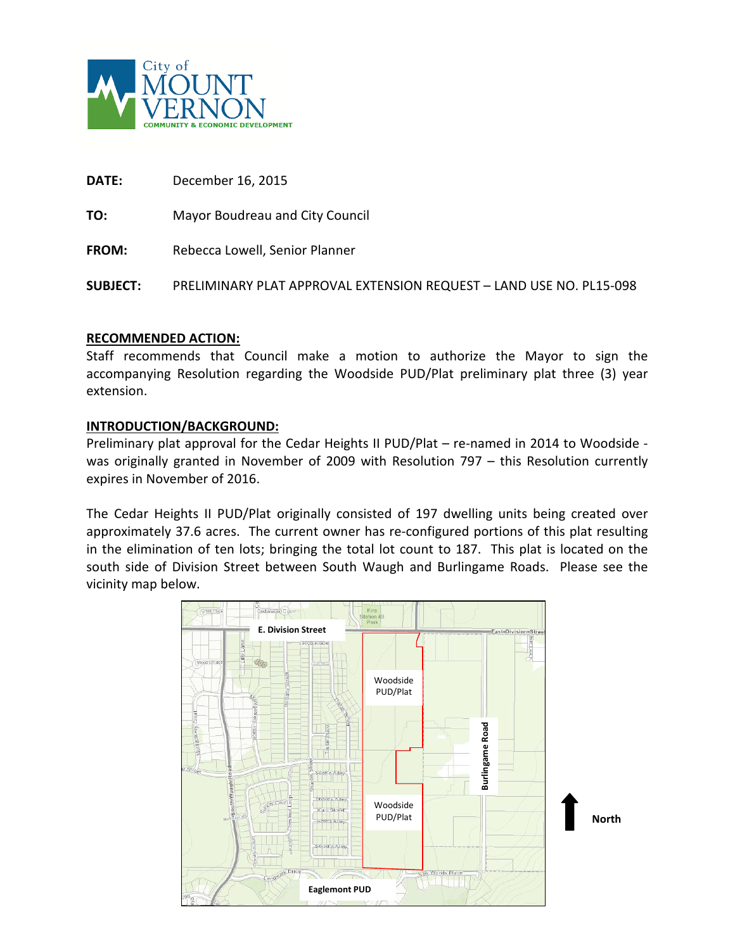

**DATE:** December 16, 2015

**TO:** Mayor Boudreau and City Council

**FROM:** Rebecca Lowell, Senior Planner

**SUBJECT:** PRELIMINARY PLAT APPROVAL EXTENSION REQUEST – LAND USE NO. PL15-098

### **RECOMMENDED ACTION:**

Staff recommends that Council make a motion to authorize the Mayor to sign the accompanying Resolution regarding the Woodside PUD/Plat preliminary plat three (3) year extension.

### **INTRODUCTION/BACKGROUND:**

Preliminary plat approval for the Cedar Heights II PUD/Plat – re-named in 2014 to Woodside was originally granted in November of 2009 with Resolution 797 – this Resolution currently expires in November of 2016.

The Cedar Heights II PUD/Plat originally consisted of 197 dwelling units being created over approximately 37.6 acres. The current owner has re-configured portions of this plat resulting in the elimination of ten lots; bringing the total lot count to 187. This plat is located on the south side of Division Street between South Waugh and Burlingame Roads. Please see the vicinity map below.

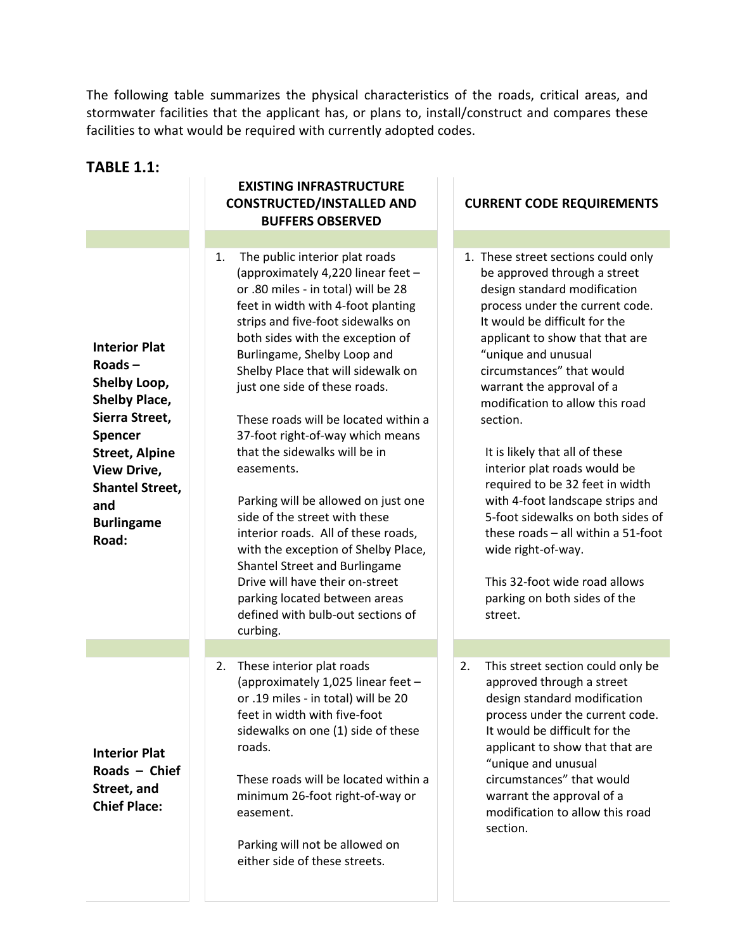The following table summarizes the physical characteristics of the roads, critical areas, and stormwater facilities that the applicant has, or plans to, install/construct and compares these facilities to what would be required with currently adopted codes.

| <b>TABLE 1.1:</b>                                                                                                                                                                                                    |                                                                                                                                                                                                                                                                                                                                                                                                                                                                                                                                                                                                                                                                                                                                                                               |                                                                                                                                                                                                                                                                                                                                                                                                                                                                                                                                                                                                                                                                  |
|----------------------------------------------------------------------------------------------------------------------------------------------------------------------------------------------------------------------|-------------------------------------------------------------------------------------------------------------------------------------------------------------------------------------------------------------------------------------------------------------------------------------------------------------------------------------------------------------------------------------------------------------------------------------------------------------------------------------------------------------------------------------------------------------------------------------------------------------------------------------------------------------------------------------------------------------------------------------------------------------------------------|------------------------------------------------------------------------------------------------------------------------------------------------------------------------------------------------------------------------------------------------------------------------------------------------------------------------------------------------------------------------------------------------------------------------------------------------------------------------------------------------------------------------------------------------------------------------------------------------------------------------------------------------------------------|
|                                                                                                                                                                                                                      | <b>EXISTING INFRASTRUCTURE</b><br><b>CONSTRUCTED/INSTALLED AND</b><br><b>BUFFERS OBSERVED</b>                                                                                                                                                                                                                                                                                                                                                                                                                                                                                                                                                                                                                                                                                 | <b>CURRENT CODE REQUIREMENTS</b>                                                                                                                                                                                                                                                                                                                                                                                                                                                                                                                                                                                                                                 |
|                                                                                                                                                                                                                      |                                                                                                                                                                                                                                                                                                                                                                                                                                                                                                                                                                                                                                                                                                                                                                               |                                                                                                                                                                                                                                                                                                                                                                                                                                                                                                                                                                                                                                                                  |
| <b>Interior Plat</b><br>Roads $-$<br>Shelby Loop,<br><b>Shelby Place,</b><br>Sierra Street,<br>Spencer<br><b>Street, Alpine</b><br><b>View Drive,</b><br><b>Shantel Street,</b><br>and<br><b>Burlingame</b><br>Road: | The public interior plat roads<br>1.<br>(approximately 4,220 linear feet -<br>or .80 miles - in total) will be 28<br>feet in width with 4-foot planting<br>strips and five-foot sidewalks on<br>both sides with the exception of<br>Burlingame, Shelby Loop and<br>Shelby Place that will sidewalk on<br>just one side of these roads.<br>These roads will be located within a<br>37-foot right-of-way which means<br>that the sidewalks will be in<br>easements.<br>Parking will be allowed on just one<br>side of the street with these<br>interior roads. All of these roads,<br>with the exception of Shelby Place,<br>Shantel Street and Burlingame<br>Drive will have their on-street<br>parking located between areas<br>defined with bulb-out sections of<br>curbing. | 1. These street sections could only<br>be approved through a street<br>design standard modification<br>process under the current code.<br>It would be difficult for the<br>applicant to show that that are<br>"unique and unusual<br>circumstances" that would<br>warrant the approval of a<br>modification to allow this road<br>section.<br>It is likely that all of these<br>interior plat roads would be<br>required to be 32 feet in width<br>with 4-foot landscape strips and<br>5-foot sidewalks on both sides of<br>these roads - all within a 51-foot<br>wide right-of-way.<br>This 32-foot wide road allows<br>parking on both sides of the<br>street. |
| <b>Interior Plat</b><br>Roads $-$ Chief<br>Street, and<br><b>Chief Place:</b>                                                                                                                                        | These interior plat roads<br>2.<br>(approximately 1,025 linear feet -<br>or .19 miles - in total) will be 20<br>feet in width with five-foot<br>sidewalks on one (1) side of these<br>roads.<br>These roads will be located within a<br>minimum 26-foot right-of-way or<br>easement.<br>Parking will not be allowed on                                                                                                                                                                                                                                                                                                                                                                                                                                                        | 2.<br>This street section could only be<br>approved through a street<br>design standard modification<br>process under the current code.<br>It would be difficult for the<br>applicant to show that that are<br>"unique and unusual<br>circumstances" that would<br>warrant the approval of a<br>modification to allow this road<br>section.                                                                                                                                                                                                                                                                                                                      |

either side of these streets.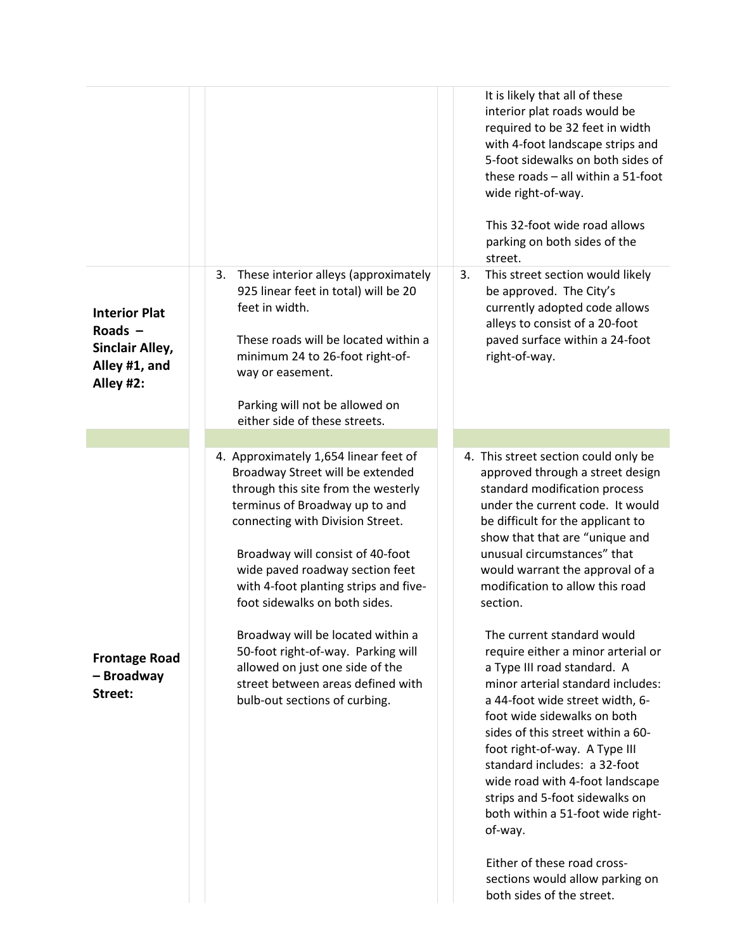|                                                                                    |                                                                                                                                                                                                                                                                                                                                                                                                                                                                                                                             | It is likely that all of these<br>interior plat roads would be<br>required to be 32 feet in width<br>with 4-foot landscape strips and<br>5-foot sidewalks on both sides of<br>these roads - all within a 51-foot<br>wide right-of-way.<br>This 32-foot wide road allows<br>parking on both sides of the<br>street.                                                                                                                                                                                                                                                                                                                                                                                                                                                                                                                                                        |
|------------------------------------------------------------------------------------|-----------------------------------------------------------------------------------------------------------------------------------------------------------------------------------------------------------------------------------------------------------------------------------------------------------------------------------------------------------------------------------------------------------------------------------------------------------------------------------------------------------------------------|---------------------------------------------------------------------------------------------------------------------------------------------------------------------------------------------------------------------------------------------------------------------------------------------------------------------------------------------------------------------------------------------------------------------------------------------------------------------------------------------------------------------------------------------------------------------------------------------------------------------------------------------------------------------------------------------------------------------------------------------------------------------------------------------------------------------------------------------------------------------------|
| <b>Interior Plat</b><br>Roads $-$<br>Sinclair Alley,<br>Alley #1, and<br>Alley #2: | These interior alleys (approximately<br>3.<br>925 linear feet in total) will be 20<br>feet in width.<br>These roads will be located within a<br>minimum 24 to 26-foot right-of-<br>way or easement.<br>Parking will not be allowed on<br>either side of these streets.                                                                                                                                                                                                                                                      | This street section would likely<br>3.<br>be approved. The City's<br>currently adopted code allows<br>alleys to consist of a 20-foot<br>paved surface within a 24-foot<br>right-of-way.                                                                                                                                                                                                                                                                                                                                                                                                                                                                                                                                                                                                                                                                                   |
| <b>Frontage Road</b><br>- Broadway<br>Street:                                      | 4. Approximately 1,654 linear feet of<br>Broadway Street will be extended<br>through this site from the westerly<br>terminus of Broadway up to and<br>connecting with Division Street.<br>Broadway will consist of 40-foot<br>wide paved roadway section feet<br>with 4-foot planting strips and five-<br>foot sidewalks on both sides.<br>Broadway will be located within a<br>50-foot right-of-way. Parking will<br>allowed on just one side of the<br>street between areas defined with<br>bulb-out sections of curbing. | 4. This street section could only be<br>approved through a street design<br>standard modification process<br>under the current code. It would<br>be difficult for the applicant to<br>show that that are "unique and<br>unusual circumstances" that<br>would warrant the approval of a<br>modification to allow this road<br>section.<br>The current standard would<br>require either a minor arterial or<br>a Type III road standard. A<br>minor arterial standard includes:<br>a 44-foot wide street width, 6-<br>foot wide sidewalks on both<br>sides of this street within a 60-<br>foot right-of-way. A Type III<br>standard includes: a 32-foot<br>wide road with 4-foot landscape<br>strips and 5-foot sidewalks on<br>both within a 51-foot wide right-<br>of-way.<br>Either of these road cross-<br>sections would allow parking on<br>both sides of the street. |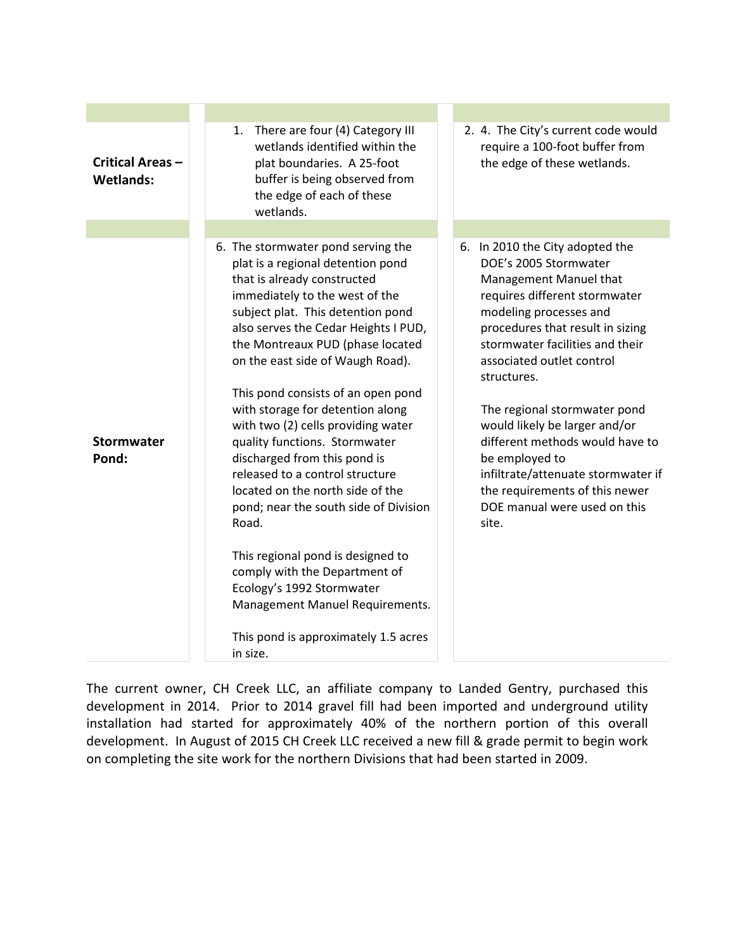| Critical Areas-<br><b>Wetlands:</b> | 1. There are four (4) Category III<br>wetlands identified within the<br>plat boundaries. A 25-foot<br>buffer is being observed from<br>the edge of each of these<br>wetlands.                                                                                                                                                                                                                                                                                                                                                                                                                                                                                                                                                                                                                     | 2. 4. The City's current code would<br>require a 100-foot buffer from<br>the edge of these wetlands.                                                                                                                                                                                                                                                                                                                                                                                                    |
|-------------------------------------|---------------------------------------------------------------------------------------------------------------------------------------------------------------------------------------------------------------------------------------------------------------------------------------------------------------------------------------------------------------------------------------------------------------------------------------------------------------------------------------------------------------------------------------------------------------------------------------------------------------------------------------------------------------------------------------------------------------------------------------------------------------------------------------------------|---------------------------------------------------------------------------------------------------------------------------------------------------------------------------------------------------------------------------------------------------------------------------------------------------------------------------------------------------------------------------------------------------------------------------------------------------------------------------------------------------------|
|                                     |                                                                                                                                                                                                                                                                                                                                                                                                                                                                                                                                                                                                                                                                                                                                                                                                   |                                                                                                                                                                                                                                                                                                                                                                                                                                                                                                         |
| <b>Stormwater</b><br>Pond:          | 6. The stormwater pond serving the<br>plat is a regional detention pond<br>that is already constructed<br>immediately to the west of the<br>subject plat. This detention pond<br>also serves the Cedar Heights I PUD,<br>the Montreaux PUD (phase located<br>on the east side of Waugh Road).<br>This pond consists of an open pond<br>with storage for detention along<br>with two (2) cells providing water<br>quality functions. Stormwater<br>discharged from this pond is<br>released to a control structure<br>located on the north side of the<br>pond; near the south side of Division<br>Road.<br>This regional pond is designed to<br>comply with the Department of<br>Ecology's 1992 Stormwater<br>Management Manuel Requirements.<br>This pond is approximately 1.5 acres<br>in size. | 6. In 2010 the City adopted the<br>DOE's 2005 Stormwater<br>Management Manuel that<br>requires different stormwater<br>modeling processes and<br>procedures that result in sizing<br>stormwater facilities and their<br>associated outlet control<br>structures.<br>The regional stormwater pond<br>would likely be larger and/or<br>different methods would have to<br>be employed to<br>infiltrate/attenuate stormwater if<br>the requirements of this newer<br>DOE manual were used on this<br>site. |

The current owner, CH Creek LLC, an affiliate company to Landed Gentry, purchased this development in 2014. Prior to 2014 gravel fill had been imported and underground utility installation had started for approximately 40% of the northern portion of this overall development. In August of 2015 CH Creek LLC received a new fill & grade permit to begin work on completing the site work for the northern Divisions that had been started in 2009.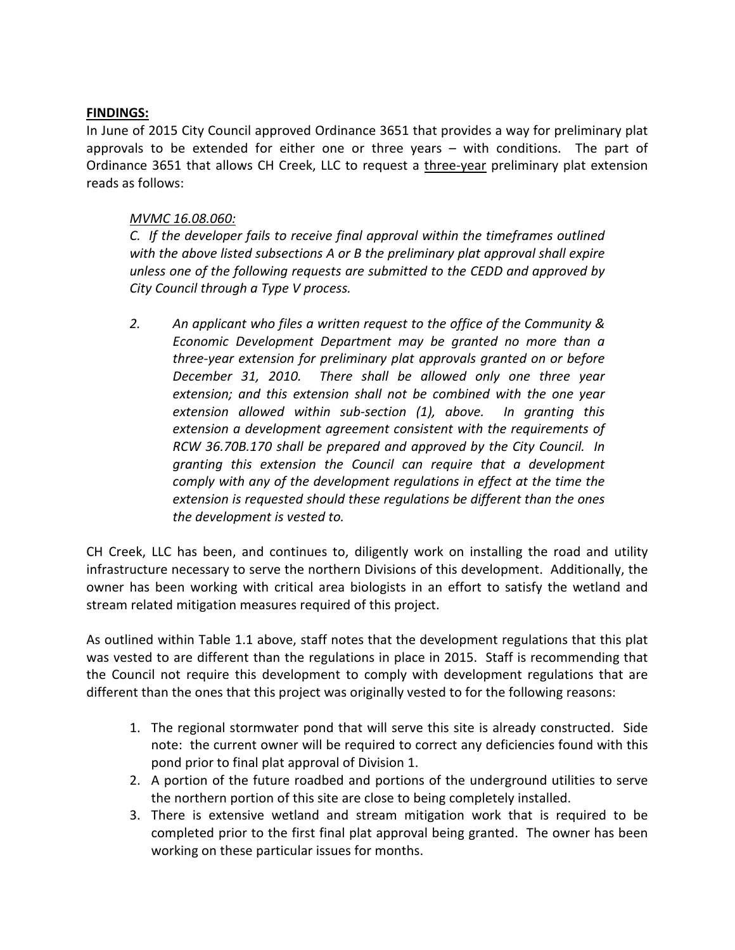## **FINDINGS:**

In June of 2015 City Council approved Ordinance 3651 that provides a way for preliminary plat approvals to be extended for either one or three years – with conditions. The part of Ordinance 3651 that allows CH Creek, LLC to request a three-year preliminary plat extension reads as follows:

## *MVMC 16.08.060:*

*C. If the developer fails to receive final approval within the timeframes outlined with the above listed subsections A or B the preliminary plat approval shall expire unless one of the following requests are submitted to the CEDD and approved by City Council through a Type V process.*

*2. An applicant who files a written request to the office of the Community & Economic Development Department may be granted no more than a three-year extension for preliminary plat approvals granted on or before December 31, 2010. There shall be allowed only one three year extension; and this extension shall not be combined with the one year extension allowed within sub-section (1), above. In granting this extension a development agreement consistent with the requirements of RCW 36.70B.170 shall be prepared and approved by the City Council. In granting this extension the Council can require that a development comply with any of the development regulations in effect at the time the extension is requested should these regulations be different than the ones the development is vested to.* 

CH Creek, LLC has been, and continues to, diligently work on installing the road and utility infrastructure necessary to serve the northern Divisions of this development. Additionally, the owner has been working with critical area biologists in an effort to satisfy the wetland and stream related mitigation measures required of this project.

As outlined within Table 1.1 above, staff notes that the development regulations that this plat was vested to are different than the regulations in place in 2015. Staff is recommending that the Council not require this development to comply with development regulations that are different than the ones that this project was originally vested to for the following reasons:

- 1. The regional stormwater pond that will serve this site is already constructed. Side note: the current owner will be required to correct any deficiencies found with this pond prior to final plat approval of Division 1.
- 2. A portion of the future roadbed and portions of the underground utilities to serve the northern portion of this site are close to being completely installed.
- 3. There is extensive wetland and stream mitigation work that is required to be completed prior to the first final plat approval being granted. The owner has been working on these particular issues for months.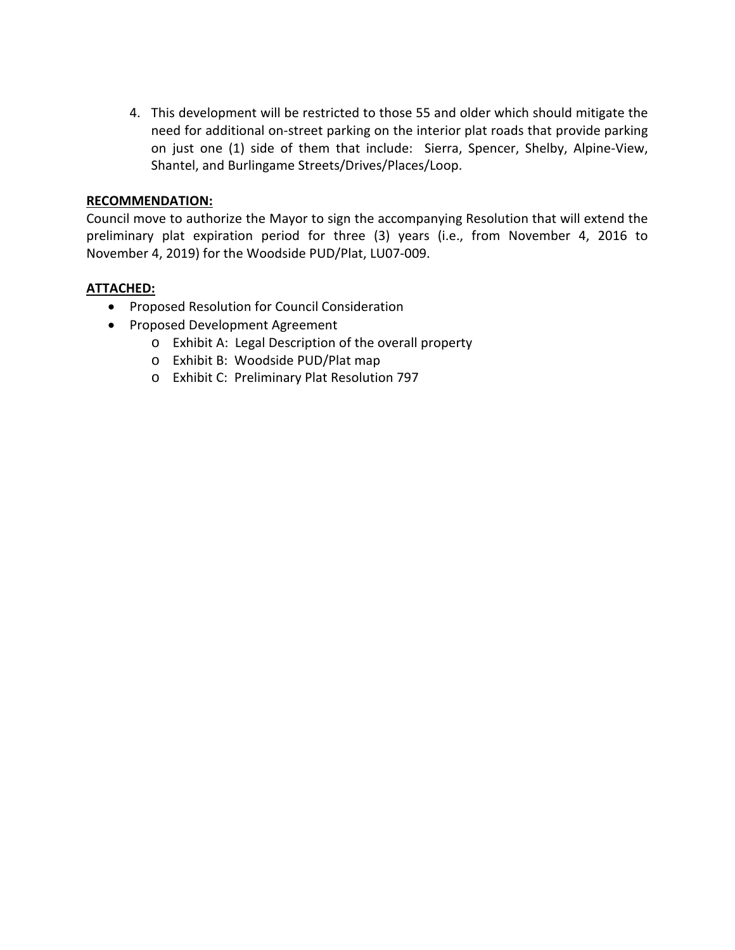4. This development will be restricted to those 55 and older which should mitigate the need for additional on-street parking on the interior plat roads that provide parking on just one (1) side of them that include: Sierra, Spencer, Shelby, Alpine-View, Shantel, and Burlingame Streets/Drives/Places/Loop.

## **RECOMMENDATION:**

Council move to authorize the Mayor to sign the accompanying Resolution that will extend the preliminary plat expiration period for three (3) years (i.e., from November 4, 2016 to November 4, 2019) for the Woodside PUD/Plat, LU07-009.

## **ATTACHED:**

- Proposed Resolution for Council Consideration
- Proposed Development Agreement
	- o Exhibit A: Legal Description of the overall property
	- o Exhibit B: Woodside PUD/Plat map
	- o Exhibit C: Preliminary Plat Resolution 797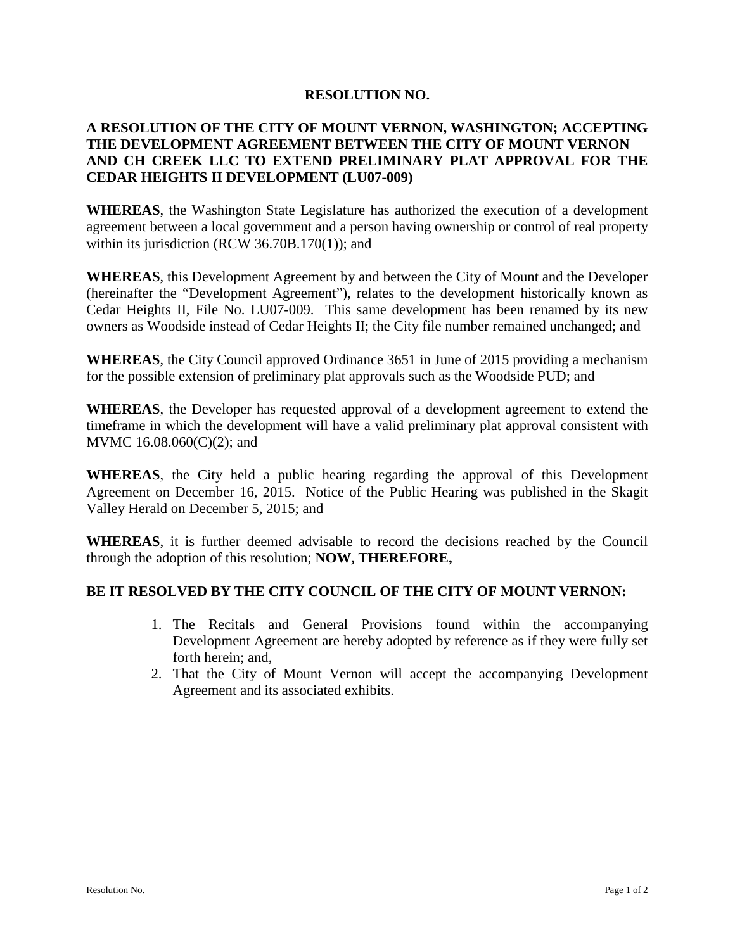### **RESOLUTION NO.**

## **A RESOLUTION OF THE CITY OF MOUNT VERNON, WASHINGTON; ACCEPTING THE DEVELOPMENT AGREEMENT BETWEEN THE CITY OF MOUNT VERNON AND CH CREEK LLC TO EXTEND PRELIMINARY PLAT APPROVAL FOR THE CEDAR HEIGHTS II DEVELOPMENT (LU07-009)**

**WHEREAS**, the Washington State Legislature has authorized the execution of a development agreement between a local government and a person having ownership or control of real property within its jurisdiction (RCW 36.70B.170(1)); and

**WHEREAS**, this Development Agreement by and between the City of Mount and the Developer (hereinafter the "Development Agreement"), relates to the development historically known as Cedar Heights II, File No. LU07-009. This same development has been renamed by its new owners as Woodside instead of Cedar Heights II; the City file number remained unchanged; and

**WHEREAS**, the City Council approved Ordinance 3651 in June of 2015 providing a mechanism for the possible extension of preliminary plat approvals such as the Woodside PUD; and

**WHEREAS**, the Developer has requested approval of a development agreement to extend the timeframe in which the development will have a valid preliminary plat approval consistent with MVMC 16.08.060(C)(2); and

**WHEREAS**, the City held a public hearing regarding the approval of this Development Agreement on December 16, 2015. Notice of the Public Hearing was published in the Skagit Valley Herald on December 5, 2015; and

**WHEREAS**, it is further deemed advisable to record the decisions reached by the Council through the adoption of this resolution; **NOW, THEREFORE,**

## **BE IT RESOLVED BY THE CITY COUNCIL OF THE CITY OF MOUNT VERNON:**

- 1. The Recitals and General Provisions found within the accompanying Development Agreement are hereby adopted by reference as if they were fully set forth herein; and,
- 2. That the City of Mount Vernon will accept the accompanying Development Agreement and its associated exhibits.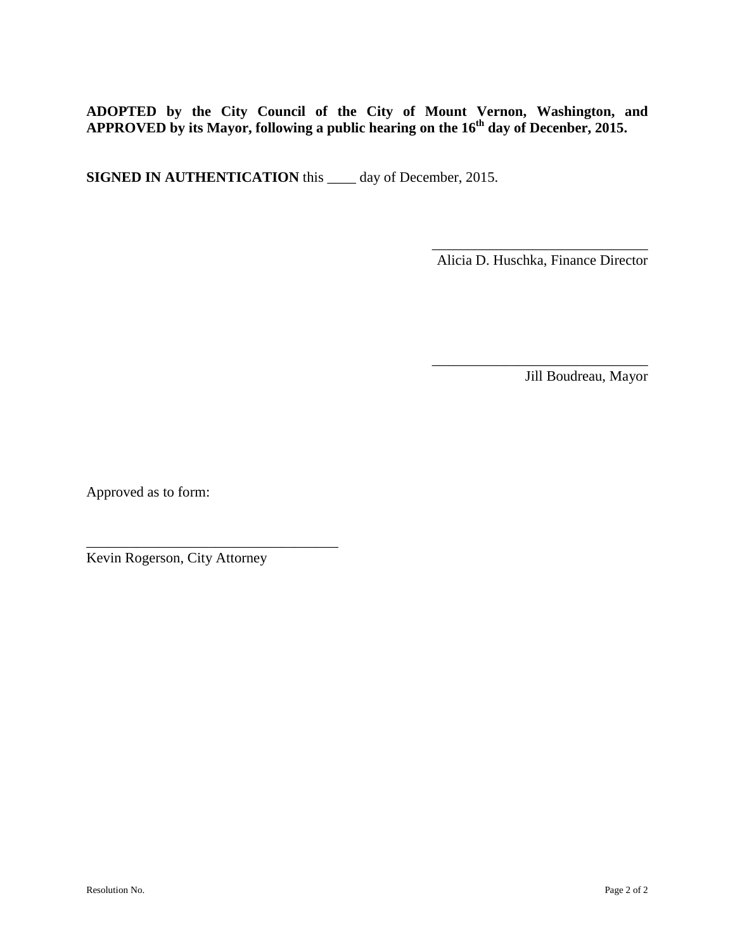**ADOPTED by the City Council of the City of Mount Vernon, Washington, and**  APPROVED by its Mayor, following a public hearing on the 16<sup>th</sup> day of Decenber, 2015.

**SIGNED IN AUTHENTICATION** this \_\_\_\_ day of December, 2015.

Alicia D. Huschka, Finance Director

\_\_\_\_\_\_\_\_\_\_\_\_\_\_\_\_\_\_\_\_\_\_\_\_\_\_\_\_\_\_

 $\frac{1}{\sqrt{2}}$  ,  $\frac{1}{\sqrt{2}}$  ,  $\frac{1}{\sqrt{2}}$  ,  $\frac{1}{\sqrt{2}}$  ,  $\frac{1}{\sqrt{2}}$  ,  $\frac{1}{\sqrt{2}}$  ,  $\frac{1}{\sqrt{2}}$  ,  $\frac{1}{\sqrt{2}}$  ,  $\frac{1}{\sqrt{2}}$  ,  $\frac{1}{\sqrt{2}}$  ,  $\frac{1}{\sqrt{2}}$  ,  $\frac{1}{\sqrt{2}}$  ,  $\frac{1}{\sqrt{2}}$  ,  $\frac{1}{\sqrt{2}}$  ,  $\frac{1}{\sqrt{2}}$ 

Jill Boudreau, Mayor

Approved as to form:

Kevin Rogerson, City Attorney

\_\_\_\_\_\_\_\_\_\_\_\_\_\_\_\_\_\_\_\_\_\_\_\_\_\_\_\_\_\_\_\_\_\_\_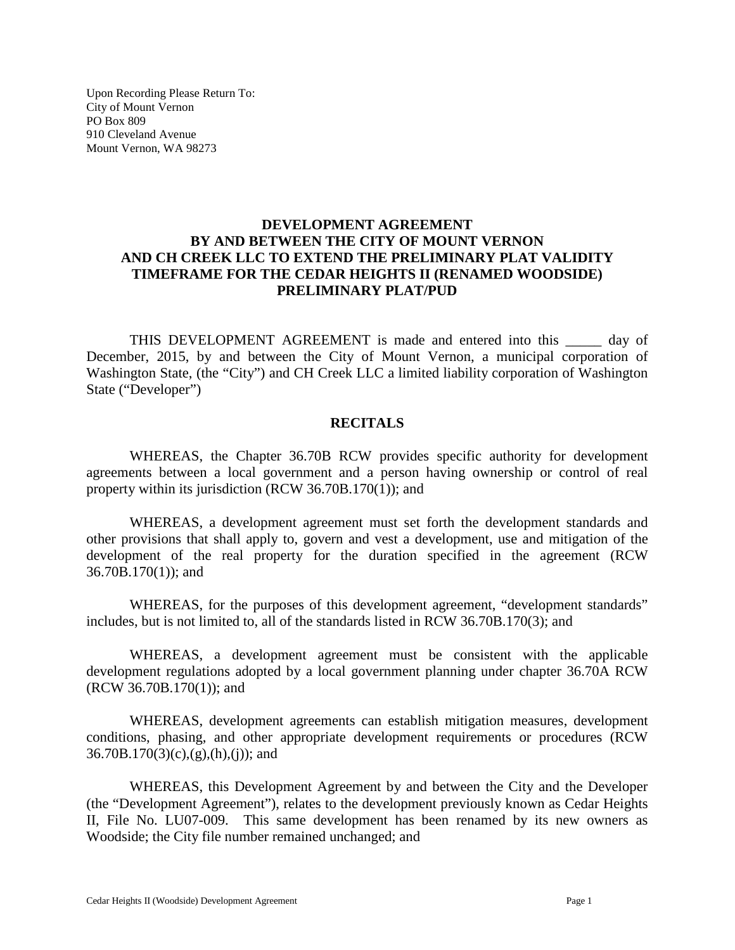Upon Recording Please Return To: City of Mount Vernon PO Box 809 910 Cleveland Avenue Mount Vernon, WA 98273

## **DEVELOPMENT AGREEMENT BY AND BETWEEN THE CITY OF MOUNT VERNON AND CH CREEK LLC TO EXTEND THE PRELIMINARY PLAT VALIDITY TIMEFRAME FOR THE CEDAR HEIGHTS II (RENAMED WOODSIDE) PRELIMINARY PLAT/PUD**

THIS DEVELOPMENT AGREEMENT is made and entered into this \_\_\_\_\_ day of December, 2015, by and between the City of Mount Vernon, a municipal corporation of Washington State, (the "City") and CH Creek LLC a limited liability corporation of Washington State ("Developer")

### **RECITALS**

WHEREAS, the Chapter 36.70B RCW provides specific authority for development agreements between a local government and a person having ownership or control of real property within its jurisdiction (RCW 36.70B.170(1)); and

WHEREAS, a development agreement must set forth the development standards and other provisions that shall apply to, govern and vest a development, use and mitigation of the development of the real property for the duration specified in the agreement (RCW 36.70B.170(1)); and

WHEREAS, for the purposes of this development agreement, "development standards" includes, but is not limited to, all of the standards listed in RCW 36.70B.170(3); and

WHEREAS, a development agreement must be consistent with the applicable development regulations adopted by a local government planning under chapter 36.70A RCW (RCW 36.70B.170(1)); and

WHEREAS, development agreements can establish mitigation measures, development conditions, phasing, and other appropriate development requirements or procedures (RCW  $36.70B.170(3)(c),(g),(h),(j))$ ; and

WHEREAS, this Development Agreement by and between the City and the Developer (the "Development Agreement"), relates to the development previously known as Cedar Heights II, File No. LU07-009. This same development has been renamed by its new owners as Woodside; the City file number remained unchanged; and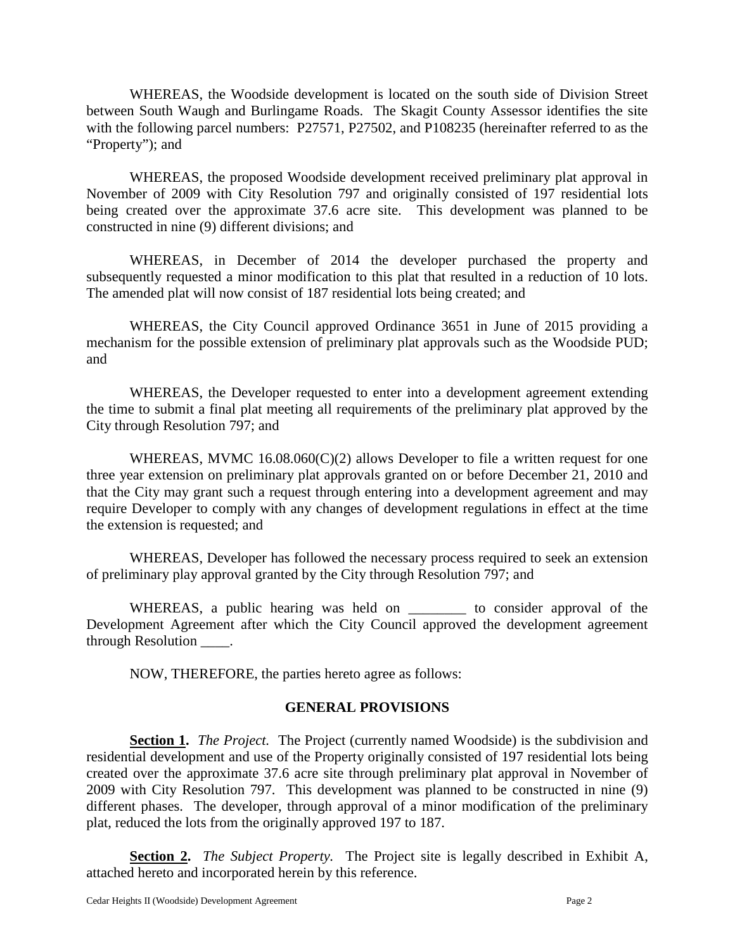WHEREAS, the Woodside development is located on the south side of Division Street between South Waugh and Burlingame Roads. The Skagit County Assessor identifies the site with the following parcel numbers: P27571, P27502, and P108235 (hereinafter referred to as the "Property"); and

WHEREAS, the proposed Woodside development received preliminary plat approval in November of 2009 with City Resolution 797 and originally consisted of 197 residential lots being created over the approximate 37.6 acre site. This development was planned to be constructed in nine (9) different divisions; and

WHEREAS, in December of 2014 the developer purchased the property and subsequently requested a minor modification to this plat that resulted in a reduction of 10 lots. The amended plat will now consist of 187 residential lots being created; and

WHEREAS, the City Council approved Ordinance 3651 in June of 2015 providing a mechanism for the possible extension of preliminary plat approvals such as the Woodside PUD; and

WHEREAS, the Developer requested to enter into a development agreement extending the time to submit a final plat meeting all requirements of the preliminary plat approved by the City through Resolution 797; and

WHEREAS, MVMC 16.08.060(C)(2) allows Developer to file a written request for one three year extension on preliminary plat approvals granted on or before December 21, 2010 and that the City may grant such a request through entering into a development agreement and may require Developer to comply with any changes of development regulations in effect at the time the extension is requested; and

WHEREAS, Developer has followed the necessary process required to seek an extension of preliminary play approval granted by the City through Resolution 797; and

WHEREAS, a public hearing was held on \_\_\_\_\_\_\_\_ to consider approval of the Development Agreement after which the City Council approved the development agreement through Resolution \_\_\_\_.

NOW, THEREFORE, the parties hereto agree as follows:

## **GENERAL PROVISIONS**

**Section 1.** *The Project.* The Project (currently named Woodside) is the subdivision and residential development and use of the Property originally consisted of 197 residential lots being created over the approximate 37.6 acre site through preliminary plat approval in November of 2009 with City Resolution 797. This development was planned to be constructed in nine (9) different phases. The developer, through approval of a minor modification of the preliminary plat, reduced the lots from the originally approved 197 to 187.

**Section 2.** *The Subject Property.* The Project site is legally described in Exhibit A, attached hereto and incorporated herein by this reference.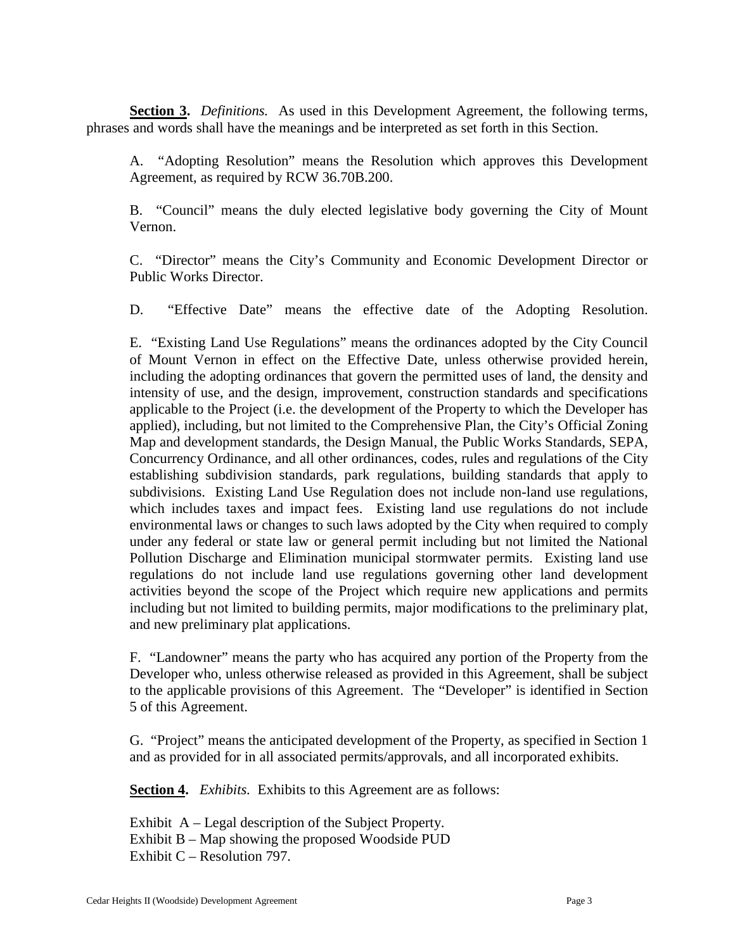**Section 3.** *Definitions.* As used in this Development Agreement, the following terms, phrases and words shall have the meanings and be interpreted as set forth in this Section.

A. "Adopting Resolution" means the Resolution which approves this Development Agreement, as required by RCW 36.70B.200.

B. "Council" means the duly elected legislative body governing the City of Mount Vernon.

C. "Director" means the City's Community and Economic Development Director or Public Works Director.

D. "Effective Date" means the effective date of the Adopting Resolution.

E. "Existing Land Use Regulations" means the ordinances adopted by the City Council of Mount Vernon in effect on the Effective Date, unless otherwise provided herein, including the adopting ordinances that govern the permitted uses of land, the density and intensity of use, and the design, improvement, construction standards and specifications applicable to the Project (i.e. the development of the Property to which the Developer has applied), including, but not limited to the Comprehensive Plan, the City's Official Zoning Map and development standards, the Design Manual, the Public Works Standards, SEPA, Concurrency Ordinance, and all other ordinances, codes, rules and regulations of the City establishing subdivision standards, park regulations, building standards that apply to subdivisions. Existing Land Use Regulation does not include non-land use regulations, which includes taxes and impact fees. Existing land use regulations do not include environmental laws or changes to such laws adopted by the City when required to comply under any federal or state law or general permit including but not limited the National Pollution Discharge and Elimination municipal stormwater permits. Existing land use regulations do not include land use regulations governing other land development activities beyond the scope of the Project which require new applications and permits including but not limited to building permits, major modifications to the preliminary plat, and new preliminary plat applications.

F. "Landowner" means the party who has acquired any portion of the Property from the Developer who, unless otherwise released as provided in this Agreement, shall be subject to the applicable provisions of this Agreement. The "Developer" is identified in Section 5 of this Agreement.

G. "Project" means the anticipated development of the Property, as specified in Section 1 and as provided for in all associated permits/approvals, and all incorporated exhibits.

**Section 4.** *Exhibits.* Exhibits to this Agreement are as follows:

Exhibit A – Legal description of the Subject Property. Exhibit B – Map showing the proposed Woodside PUD Exhibit C – Resolution 797.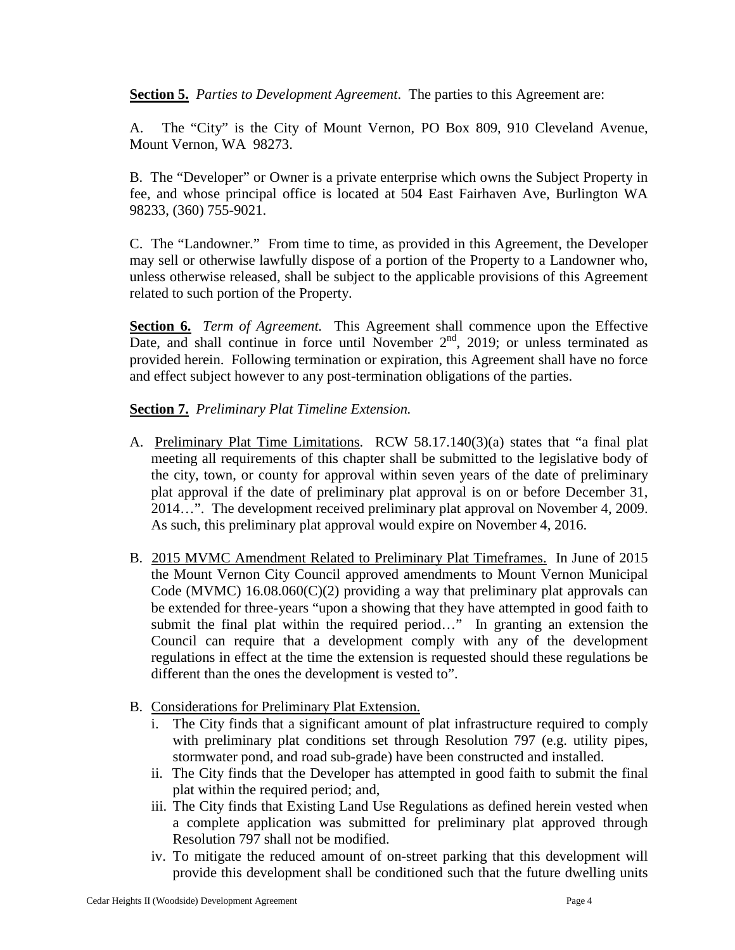**Section 5.** *Parties to Development Agreement*. The parties to this Agreement are:

A. The "City" is the City of Mount Vernon, PO Box 809, 910 Cleveland Avenue, Mount Vernon, WA 98273.

B. The "Developer" or Owner is a private enterprise which owns the Subject Property in fee, and whose principal office is located at 504 East Fairhaven Ave, Burlington WA 98233, (360) 755-9021.

C. The "Landowner." From time to time, as provided in this Agreement, the Developer may sell or otherwise lawfully dispose of a portion of the Property to a Landowner who, unless otherwise released, shall be subject to the applicable provisions of this Agreement related to such portion of the Property.

**Section 6.** *Term of Agreement.* This Agreement shall commence upon the Effective Date, and shall continue in force until November  $2<sup>nd</sup>$ , 2019; or unless terminated as provided herein. Following termination or expiration, this Agreement shall have no force and effect subject however to any post-termination obligations of the parties.

**Section 7.** *Preliminary Plat Timeline Extension.*

- A. Preliminary Plat Time Limitations. RCW 58.17.140(3)(a) states that "a final plat meeting all requirements of this chapter shall be submitted to the legislative body of the city, town, or county for approval within seven years of the date of preliminary plat approval if the date of preliminary plat approval is on or before December 31, 2014…". The development received preliminary plat approval on November 4, 2009. As such, this preliminary plat approval would expire on November 4, 2016.
- B. 2015 MVMC Amendment Related to Preliminary Plat Timeframes. In June of 2015 the Mount Vernon City Council approved amendments to Mount Vernon Municipal Code (MVMC)  $16.08.060(C)(2)$  providing a way that preliminary plat approvals can be extended for three-years "upon a showing that they have attempted in good faith to submit the final plat within the required period…" In granting an extension the Council can require that a development comply with any of the development regulations in effect at the time the extension is requested should these regulations be different than the ones the development is vested to".
- B. Considerations for Preliminary Plat Extension.
	- i. The City finds that a significant amount of plat infrastructure required to comply with preliminary plat conditions set through Resolution 797 (e.g. utility pipes, stormwater pond, and road sub-grade) have been constructed and installed.
	- ii. The City finds that the Developer has attempted in good faith to submit the final plat within the required period; and,
	- iii. The City finds that Existing Land Use Regulations as defined herein vested when a complete application was submitted for preliminary plat approved through Resolution 797 shall not be modified.
	- iv. To mitigate the reduced amount of on-street parking that this development will provide this development shall be conditioned such that the future dwelling units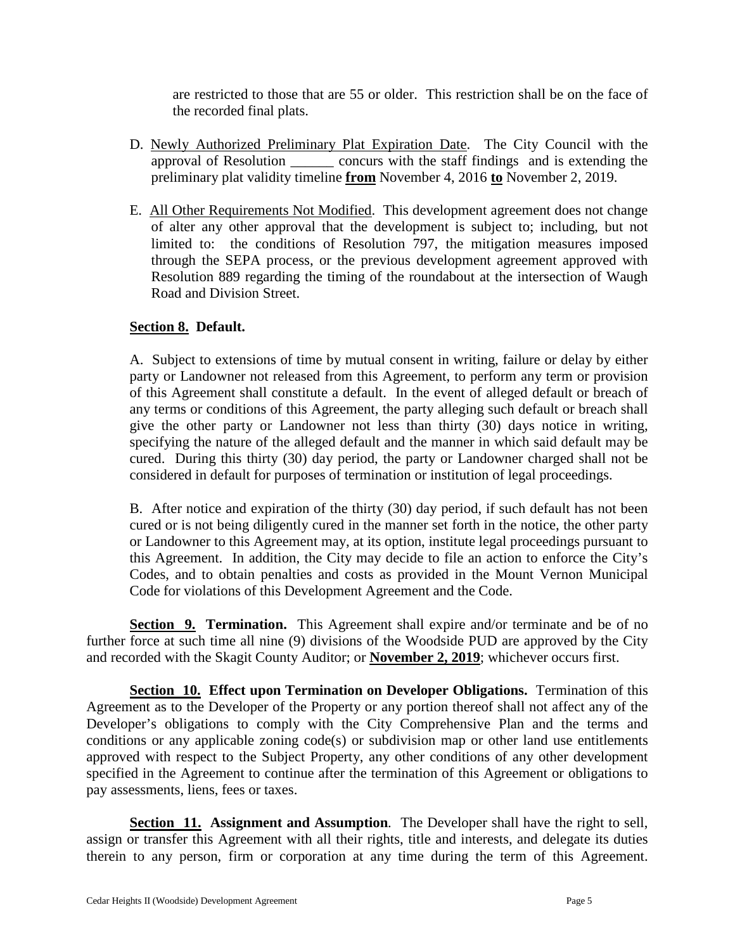are restricted to those that are 55 or older. This restriction shall be on the face of the recorded final plats.

- D. Newly Authorized Preliminary Plat Expiration Date. The City Council with the approval of Resolution \_\_\_\_\_\_ concurs with the staff findings and is extending the preliminary plat validity timeline **from** November 4, 2016 **to** November 2, 2019.
- E. All Other Requirements Not Modified. This development agreement does not change of alter any other approval that the development is subject to; including, but not limited to: the conditions of Resolution 797, the mitigation measures imposed through the SEPA process, or the previous development agreement approved with Resolution 889 regarding the timing of the roundabout at the intersection of Waugh Road and Division Street.

## **Section 8. Default.**

A. Subject to extensions of time by mutual consent in writing, failure or delay by either party or Landowner not released from this Agreement, to perform any term or provision of this Agreement shall constitute a default. In the event of alleged default or breach of any terms or conditions of this Agreement, the party alleging such default or breach shall give the other party or Landowner not less than thirty (30) days notice in writing, specifying the nature of the alleged default and the manner in which said default may be cured. During this thirty (30) day period, the party or Landowner charged shall not be considered in default for purposes of termination or institution of legal proceedings.

B. After notice and expiration of the thirty (30) day period, if such default has not been cured or is not being diligently cured in the manner set forth in the notice, the other party or Landowner to this Agreement may, at its option, institute legal proceedings pursuant to this Agreement. In addition, the City may decide to file an action to enforce the City's Codes, and to obtain penalties and costs as provided in the Mount Vernon Municipal Code for violations of this Development Agreement and the Code.

**Section 9. Termination.** This Agreement shall expire and/or terminate and be of no further force at such time all nine (9) divisions of the Woodside PUD are approved by the City and recorded with the Skagit County Auditor; or **November 2, 2019**; whichever occurs first.

**Section 10. Effect upon Termination on Developer Obligations.** Termination of this Agreement as to the Developer of the Property or any portion thereof shall not affect any of the Developer's obligations to comply with the City Comprehensive Plan and the terms and conditions or any applicable zoning code(s) or subdivision map or other land use entitlements approved with respect to the Subject Property, any other conditions of any other development specified in the Agreement to continue after the termination of this Agreement or obligations to pay assessments, liens, fees or taxes.

**Section 11. Assignment and Assumption***.* The Developer shall have the right to sell, assign or transfer this Agreement with all their rights, title and interests, and delegate its duties therein to any person, firm or corporation at any time during the term of this Agreement.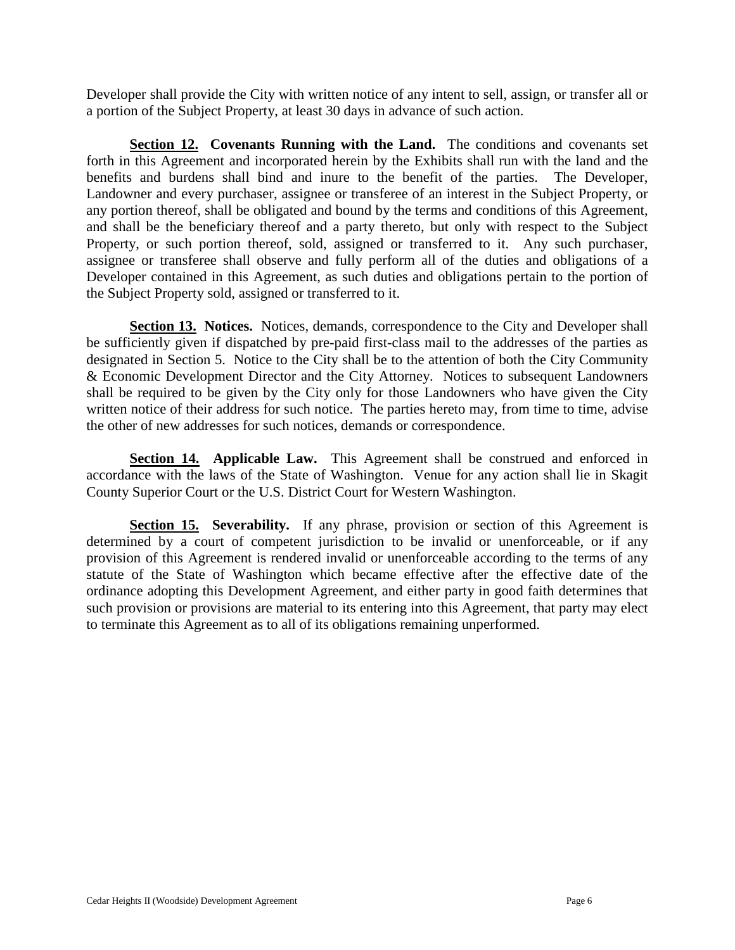Developer shall provide the City with written notice of any intent to sell, assign, or transfer all or a portion of the Subject Property, at least 30 days in advance of such action.

**Section 12. Covenants Running with the Land.** The conditions and covenants set forth in this Agreement and incorporated herein by the Exhibits shall run with the land and the benefits and burdens shall bind and inure to the benefit of the parties. The Developer, Landowner and every purchaser, assignee or transferee of an interest in the Subject Property, or any portion thereof, shall be obligated and bound by the terms and conditions of this Agreement, and shall be the beneficiary thereof and a party thereto, but only with respect to the Subject Property, or such portion thereof, sold, assigned or transferred to it. Any such purchaser, assignee or transferee shall observe and fully perform all of the duties and obligations of a Developer contained in this Agreement, as such duties and obligations pertain to the portion of the Subject Property sold, assigned or transferred to it.

**Section 13. Notices.** Notices, demands, correspondence to the City and Developer shall be sufficiently given if dispatched by pre-paid first-class mail to the addresses of the parties as designated in Section 5. Notice to the City shall be to the attention of both the City Community & Economic Development Director and the City Attorney. Notices to subsequent Landowners shall be required to be given by the City only for those Landowners who have given the City written notice of their address for such notice. The parties hereto may, from time to time, advise the other of new addresses for such notices, demands or correspondence.

**Section 14. Applicable Law.** This Agreement shall be construed and enforced in accordance with the laws of the State of Washington. Venue for any action shall lie in Skagit County Superior Court or the U.S. District Court for Western Washington.

**Section 15.** Severability. If any phrase, provision or section of this Agreement is determined by a court of competent jurisdiction to be invalid or unenforceable, or if any provision of this Agreement is rendered invalid or unenforceable according to the terms of any statute of the State of Washington which became effective after the effective date of the ordinance adopting this Development Agreement, and either party in good faith determines that such provision or provisions are material to its entering into this Agreement, that party may elect to terminate this Agreement as to all of its obligations remaining unperformed.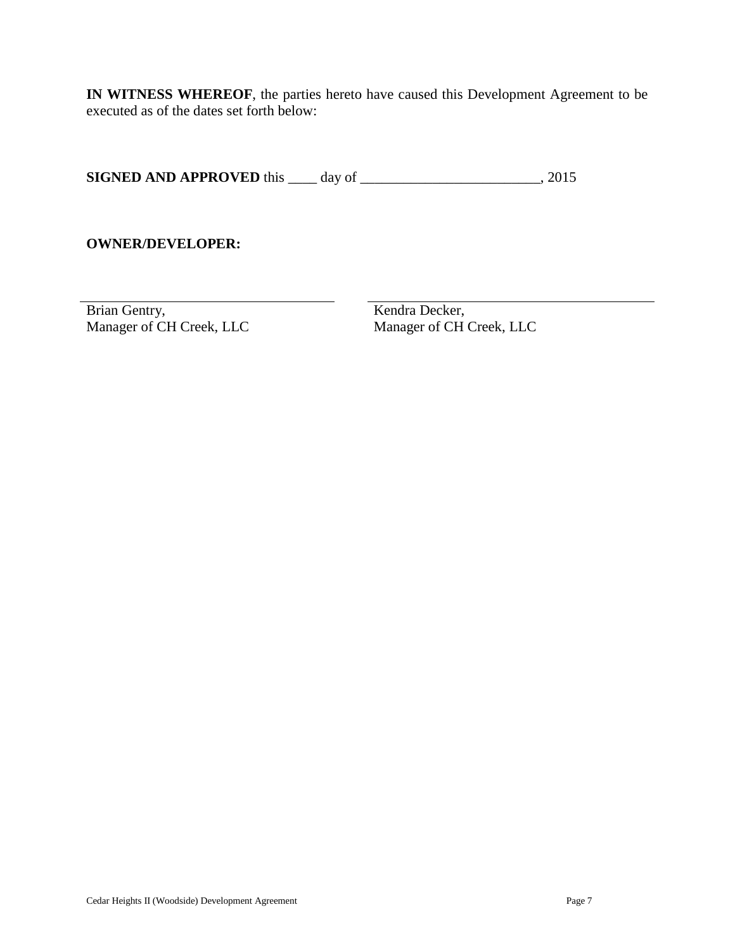**IN WITNESS WHEREOF**, the parties hereto have caused this Development Agreement to be executed as of the dates set forth below:

**SIGNED AND APPROVED** this \_\_\_\_ day of \_\_\_\_\_\_\_\_\_\_\_\_\_\_\_\_\_\_\_\_\_\_\_, 2015

## **OWNER/DEVELOPER:**

Brian Gentry, Kendra Decker, Manager of CH Creek, LLC Manager of CH Creek, LLC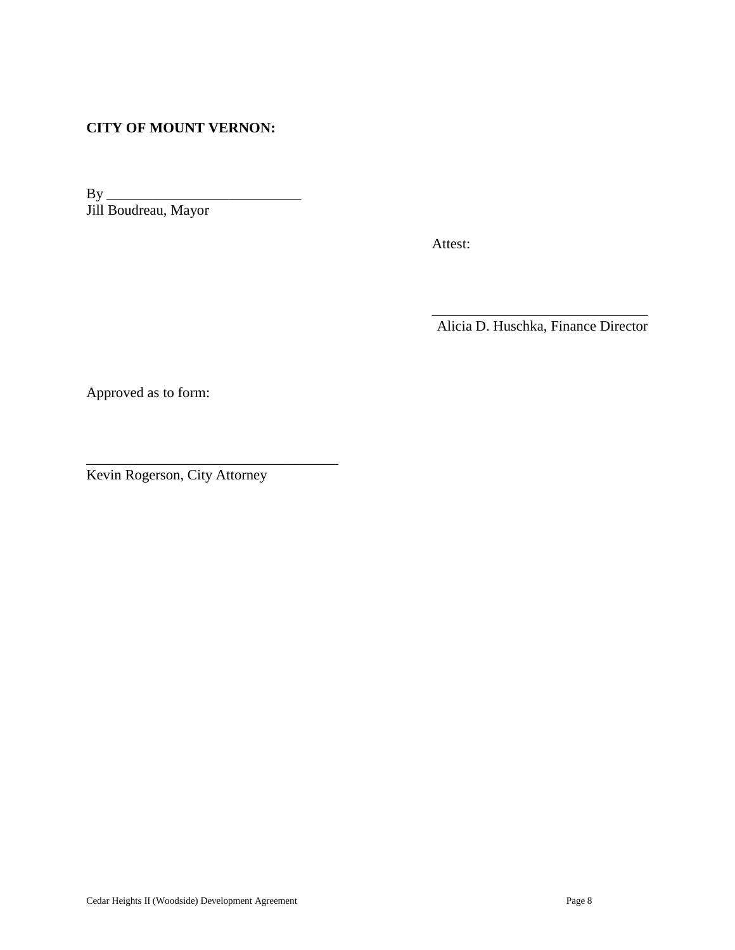# **CITY OF MOUNT VERNON:**

By \_\_\_\_\_\_\_\_\_\_\_\_\_\_\_\_\_\_\_\_\_\_\_\_\_\_\_ Jill Boudreau, Mayor

Attest:

Alicia D. Huschka, Finance Director

 $\frac{1}{\sqrt{2}}$  ,  $\frac{1}{\sqrt{2}}$  ,  $\frac{1}{\sqrt{2}}$  ,  $\frac{1}{\sqrt{2}}$  ,  $\frac{1}{\sqrt{2}}$  ,  $\frac{1}{\sqrt{2}}$  ,  $\frac{1}{\sqrt{2}}$  ,  $\frac{1}{\sqrt{2}}$  ,  $\frac{1}{\sqrt{2}}$  ,  $\frac{1}{\sqrt{2}}$  ,  $\frac{1}{\sqrt{2}}$  ,  $\frac{1}{\sqrt{2}}$  ,  $\frac{1}{\sqrt{2}}$  ,  $\frac{1}{\sqrt{2}}$  ,  $\frac{1}{\sqrt{2}}$ 

Approved as to form:

Kevin Rogerson, City Attorney

\_\_\_\_\_\_\_\_\_\_\_\_\_\_\_\_\_\_\_\_\_\_\_\_\_\_\_\_\_\_\_\_\_\_\_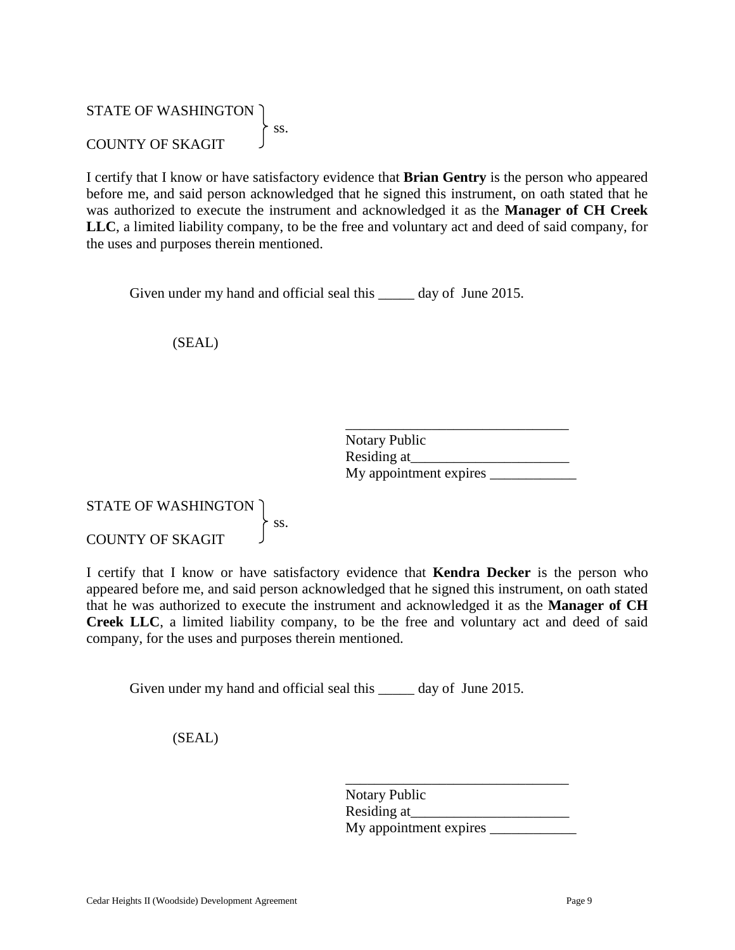# STATE OF WASHINGTON  $\overline{\phantom{a}}$  ss. COUNTY OF SKAGIT

I certify that I know or have satisfactory evidence that **Brian Gentry** is the person who appeared before me, and said person acknowledged that he signed this instrument, on oath stated that he was authorized to execute the instrument and acknowledged it as the **Manager of CH Creek LLC**, a limited liability company, to be the free and voluntary act and deed of said company, for the uses and purposes therein mentioned.

Given under my hand and official seal this \_\_\_\_\_\_ day of June 2015.

(SEAL)

| <b>Notary Public</b>   |  |
|------------------------|--|
| Residing at            |  |
| My appointment expires |  |

# STATE OF WASHINGTON ss. COUNTY OF SKAGIT

I certify that I know or have satisfactory evidence that **Kendra Decker** is the person who appeared before me, and said person acknowledged that he signed this instrument, on oath stated that he was authorized to execute the instrument and acknowledged it as the **Manager of CH Creek LLC**, a limited liability company, to be the free and voluntary act and deed of said company, for the uses and purposes therein mentioned.

Given under my hand and official seal this \_\_\_\_\_\_ day of June 2015.

(SEAL)

| Notary Public          |  |
|------------------------|--|
| Residing at            |  |
| My appointment expires |  |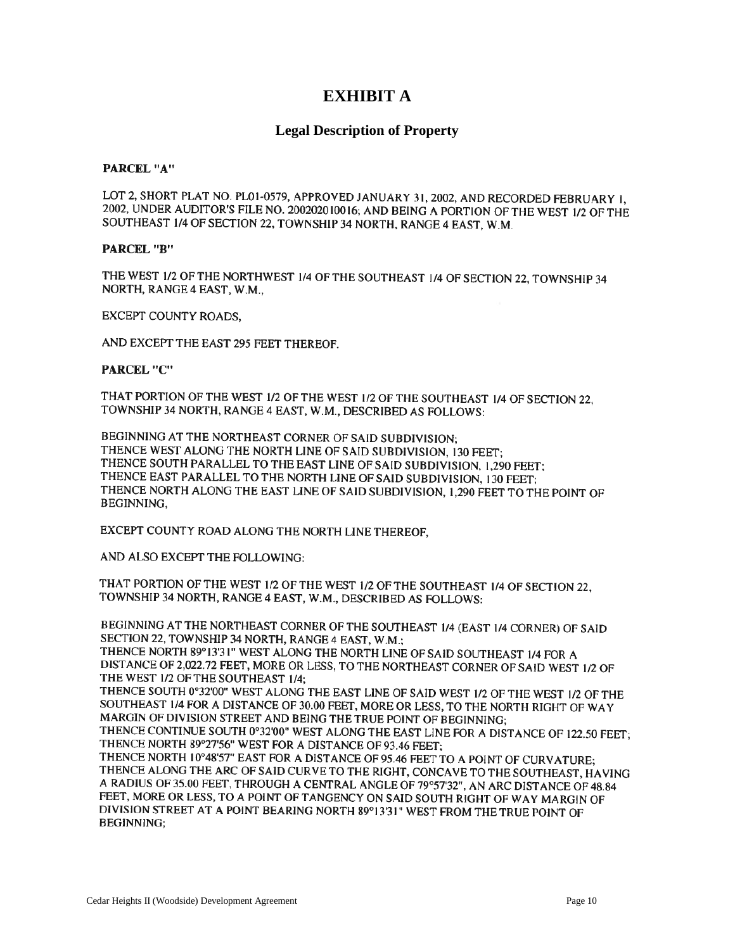# **EXHIBIT A**

### **Legal Description of Property**

#### **PARCEL "A"**

LOT 2, SHORT PLAT NO. PL01-0579, APPROVED JANUARY 31, 2002, AND RECORDED FEBRUARY 1. 2002, UNDER AUDITOR'S FILE NO. 200202010016; AND BEING A PORTION OF THE WEST 1/2 OF THE SOUTHEAST 1/4 OF SECTION 22, TOWNSHIP 34 NORTH, RANGE 4 EAST, W.M.

### PARCEL "B"

THE WEST 1/2 OF THE NORTHWEST 1/4 OF THE SOUTHEAST 1/4 OF SECTION 22, TOWNSHIP 34 NORTH, RANGE 4 EAST, W.M.,

EXCEPT COUNTY ROADS.

AND EXCEPT THE EAST 295 FEET THEREOF.

**PARCEL "C"** 

THAT PORTION OF THE WEST 1/2 OF THE WEST 1/2 OF THE SOUTHEAST 1/4 OF SECTION 22. TOWNSHIP 34 NORTH, RANGE 4 EAST, W.M., DESCRIBED AS FOLLOWS:

BEGINNING AT THE NORTHEAST CORNER OF SAID SUBDIVISION: THENCE WEST ALONG THE NORTH LINE OF SAID SUBDIVISION, 130 FEET: THENCE SOUTH PARALLEL TO THE EAST LINE OF SAID SUBDIVISION, 1,290 FEET; THENCE EAST PARALLEL TO THE NORTH LINE OF SAID SUBDIVISION, 130 FEET: THENCE NORTH ALONG THE EAST LINE OF SAID SUBDIVISION, 1,290 FEET TO THE POINT OF BEGINNING,

EXCEPT COUNTY ROAD ALONG THE NORTH LINE THEREOF.

AND ALSO EXCEPT THE FOLLOWING:

THAT PORTION OF THE WEST 1/2 OF THE WEST 1/2 OF THE SOUTHEAST 1/4 OF SECTION 22, TOWNSHIP 34 NORTH, RANGE 4 EAST, W.M., DESCRIBED AS FOLLOWS:

BEGINNING AT THE NORTHEAST CORNER OF THE SOUTHEAST 1/4 (EAST 1/4 CORNER) OF SAID SECTION 22, TOWNSHIP 34 NORTH, RANGE 4 EAST, W.M.;

THENCE NORTH 89°13'31" WEST ALONG THE NORTH LINE OF SAID SOUTHEAST 1/4 FOR A DISTANCE OF 2,022.72 FEET, MORE OR LESS, TO THE NORTHEAST CORNER OF SAID WEST 1/2 OF THE WEST 1/2 OF THE SOUTHEAST 1/4;

THENCE SOUTH 0°32'00" WEST ALONG THE EAST LINE OF SAID WEST 1/2 OF THE WEST 1/2 OF THE SOUTHEAST 1/4 FOR A DISTANCE OF 30.00 FEET, MORE OR LESS, TO THE NORTH RIGHT OF WAY MARGIN OF DIVISION STREET AND BEING THE TRUE POINT OF BEGINNING;

THENCE CONTINUE SOUTH 0°32'00" WEST ALONG THE EAST LINE FOR A DISTANCE OF 122.50 FEET; THENCE NORTH 89°27'56" WEST FOR A DISTANCE OF 93.46 FEET:

THENCE NORTH 10°48'57" EAST FOR A DISTANCE OF 95.46 FEET TO A POINT OF CURVATURE; THENCE ALONG THE ARC OF SAID CURVE TO THE RIGHT, CONCAVE TO THE SOUTHEAST, HAVING A RADIUS OF 35.00 FEET, THROUGH A CENTRAL ANGLE OF 79°57'32", AN ARC DISTANCE OF 48.84 FEET, MORE OR LESS, TO A POINT OF TANGENCY ON SAID SOUTH RIGHT OF WAY MARGIN OF DIVISION STREET AT A POINT BEARING NORTH 89°13'31" WEST FROM THE TRUE POINT OF **BEGINNING:**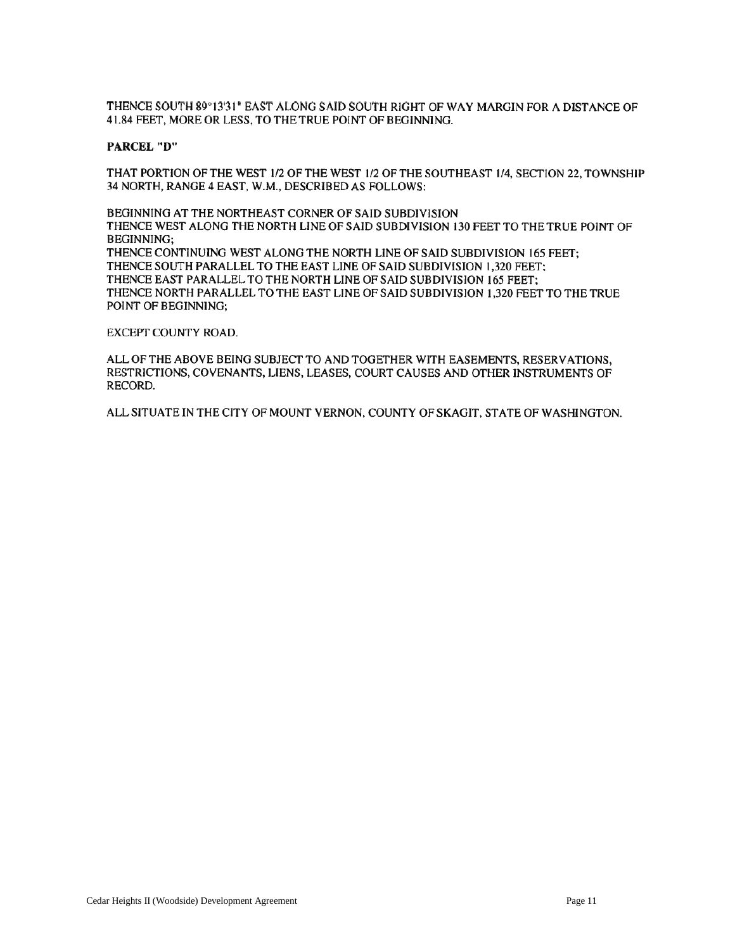THENCE SOUTH 89°13'31" EAST ALONG SAID SOUTH RIGHT OF WAY MARGIN FOR A DISTANCE OF 41.84 FEET, MORE OR LESS, TO THE TRUE POINT OF BEGINNING.

#### **PARCEL "D"**

THAT PORTION OF THE WEST 1/2 OF THE WEST 1/2 OF THE SOUTHEAST 1/4, SECTION 22, TOWNSHIP 34 NORTH, RANGE 4 EAST, W.M., DESCRIBED AS FOLLOWS:

BEGINNING AT THE NORTHEAST CORNER OF SAID SUBDIVISION THENCE WEST ALONG THE NORTH LINE OF SAID SUBDIVISION 130 FEET TO THE TRUE POINT OF **BEGINNING;** THENCE CONTINUING WEST ALONG THE NORTH LINE OF SAID SUBDIVISION 165 FEET; THENCE SOUTH PARALLEL TO THE EAST LINE OF SAID SUBDIVISION 1.320 FEET: THENCE EAST PARALLEL TO THE NORTH LINE OF SAID SUBDIVISION 165 FEET: THENCE NORTH PARALLEL TO THE EAST LINE OF SAID SUBDIVISION 1.320 FEET TO THE TRUE POINT OF BEGINNING:

#### EXCEPT COUNTY ROAD.

ALL OF THE ABOVE BEING SUBJECT TO AND TOGETHER WITH EASEMENTS, RESERVATIONS, RESTRICTIONS, COVENANTS, LIENS, LEASES, COURT CAUSES AND OTHER INSTRUMENTS OF RECORD.

ALL SITUATE IN THE CITY OF MOUNT VERNON, COUNTY OF SKAGIT, STATE OF WASHINGTON.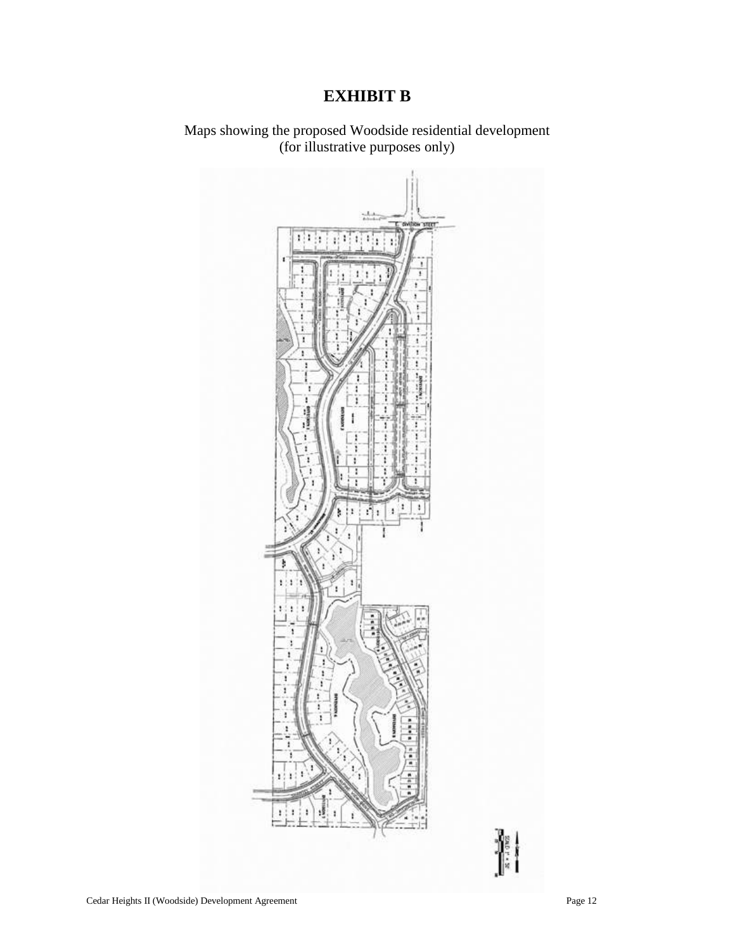# **EXHIBIT B**

Maps showing the proposed Woodside residential development (for illustrative purposes only)

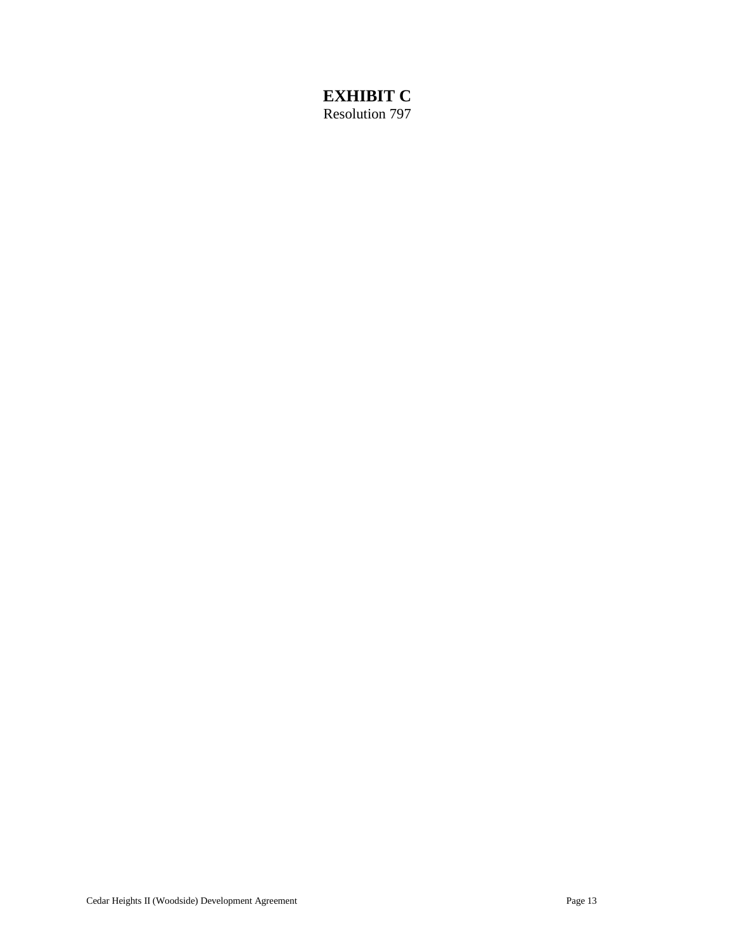# **EXHIBIT C**

Resolution 797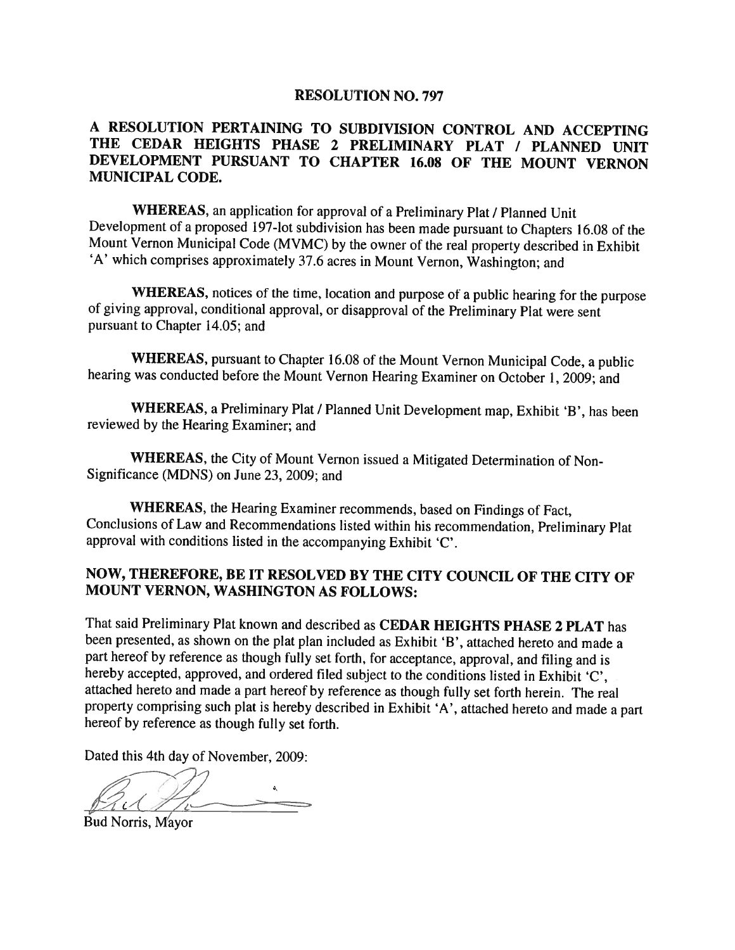### **RESOLUTION NO. 797**

## A RESOLUTION PERTAINING TO SUBDIVISION CONTROL AND ACCEPTING THE CEDAR HEIGHTS PHASE 2 PRELIMINARY PLAT / PLANNED UNIT DEVELOPMENT PURSUANT TO CHAPTER 16.08 OF THE MOUNT VERNON **MUNICIPAL CODE.**

WHEREAS, an application for approval of a Preliminary Plat / Planned Unit Development of a proposed 197-lot subdivision has been made pursuant to Chapters 16.08 of the Mount Vernon Municipal Code (MVMC) by the owner of the real property described in Exhibit 'A' which comprises approximately 37.6 acres in Mount Vernon, Washington; and

WHEREAS, notices of the time, location and purpose of a public hearing for the purpose of giving approval, conditional approval, or disapproval of the Preliminary Plat were sent pursuant to Chapter 14.05; and

WHEREAS, pursuant to Chapter 16.08 of the Mount Vernon Municipal Code, a public hearing was conducted before the Mount Vernon Hearing Examiner on October 1, 2009; and

WHEREAS, a Preliminary Plat / Planned Unit Development map, Exhibit 'B', has been reviewed by the Hearing Examiner; and

WHEREAS, the City of Mount Vernon issued a Mitigated Determination of Non-Significance (MDNS) on June 23, 2009; and

WHEREAS, the Hearing Examiner recommends, based on Findings of Fact, Conclusions of Law and Recommendations listed within his recommendation, Preliminary Plat approval with conditions listed in the accompanying Exhibit 'C'.

# NOW, THEREFORE, BE IT RESOLVED BY THE CITY COUNCIL OF THE CITY OF MOUNT VERNON, WASHINGTON AS FOLLOWS:

That said Preliminary Plat known and described as CEDAR HEIGHTS PHASE 2 PLAT has been presented, as shown on the plat plan included as Exhibit 'B', attached hereto and made a part hereof by reference as though fully set forth, for acceptance, approval, and filing and is hereby accepted, approved, and ordered filed subject to the conditions listed in Exhibit 'C', attached hereto and made a part hereof by reference as though fully set forth herein. The real property comprising such plat is hereby described in Exhibit 'A', attached hereto and made a part hereof by reference as though fully set forth.

Dated this 4th day of November, 2009:

Bud Norris, Mayor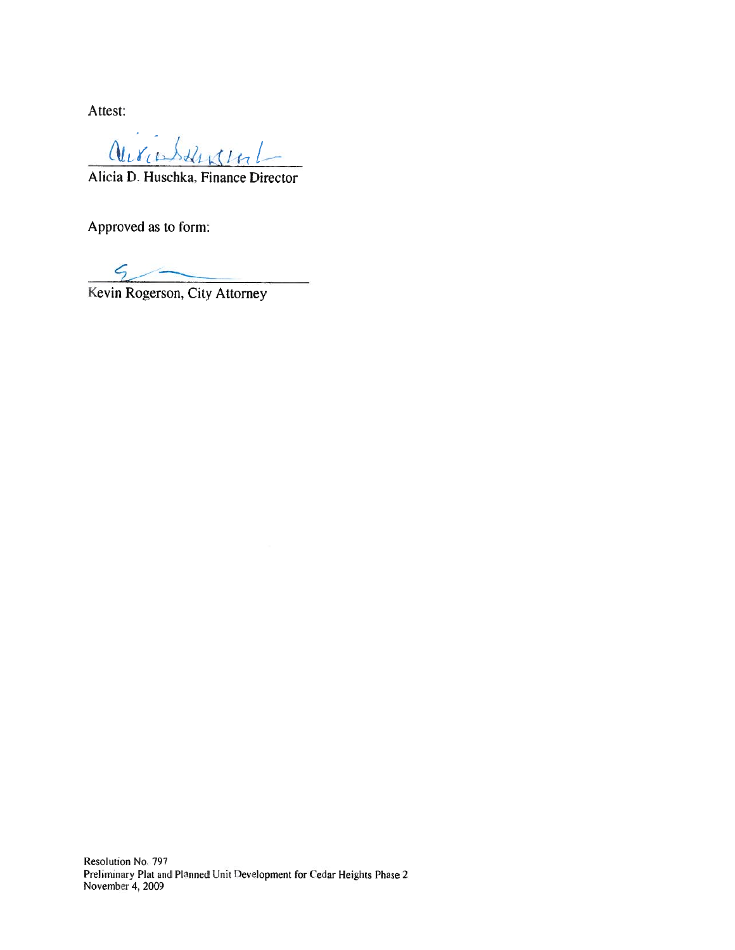Attest:

aurichtential

Alicia D. Huschka, Finance Director

Approved as to form:

Kevin Rogerson, City Attorney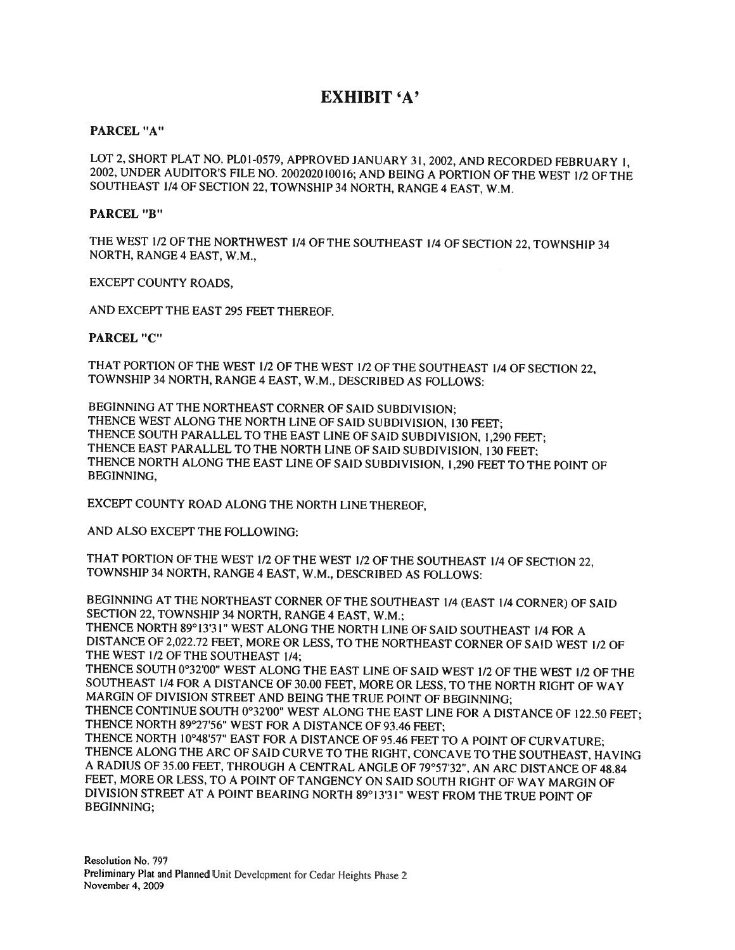# **EXHIBIT 'A'**

### PARCEL "A"

LOT 2, SHORT PLAT NO. PL01-0579, APPROVED JANUARY 31, 2002, AND RECORDED FEBRUARY 1, 2002, UNDER AUDITOR'S FILE NO. 200202010016; AND BEING A PORTION OF THE WEST 1/2 OF THE SOUTHEAST 1/4 OF SECTION 22, TOWNSHIP 34 NORTH, RANGE 4 EAST, W.M.

### **PARCEL "B"**

THE WEST 1/2 OF THE NORTHWEST 1/4 OF THE SOUTHEAST 1/4 OF SECTION 22, TOWNSHIP 34 NORTH, RANGE 4 EAST, W.M.,

EXCEPT COUNTY ROADS,

AND EXCEPT THE EAST 295 FEET THEREOF.

### **PARCEL "C"**

THAT PORTION OF THE WEST 1/2 OF THE WEST 1/2 OF THE SOUTHEAST 1/4 OF SECTION 22, TOWNSHIP 34 NORTH, RANGE 4 EAST, W.M., DESCRIBED AS FOLLOWS:

BEGINNING AT THE NORTHEAST CORNER OF SAID SUBDIVISION; THENCE WEST ALONG THE NORTH LINE OF SAID SUBDIVISION, 130 FEET; THENCE SOUTH PARALLEL TO THE EAST LINE OF SAID SUBDIVISION, 1,290 FEET; THENCE EAST PARALLEL TO THE NORTH LINE OF SAID SUBDIVISION, 130 FEET: THENCE NORTH ALONG THE EAST LINE OF SAID SUBDIVISION, 1,290 FEET TO THE POINT OF BEGINNING,

EXCEPT COUNTY ROAD ALONG THE NORTH LINE THEREOF,

AND ALSO EXCEPT THE FOLLOWING:

THAT PORTION OF THE WEST 1/2 OF THE WEST 1/2 OF THE SOUTHEAST 1/4 OF SECTION 22, TOWNSHIP 34 NORTH, RANGE 4 EAST, W.M., DESCRIBED AS FOLLOWS:

BEGINNING AT THE NORTHEAST CORNER OF THE SOUTHEAST 1/4 (EAST 1/4 CORNER) OF SAID SECTION 22, TOWNSHIP 34 NORTH, RANGE 4 EAST, W.M.;

THENCE NORTH 89°13'31" WEST ALONG THE NORTH LINE OF SAID SOUTHEAST 1/4 FOR A DISTANCE OF 2,022.72 FEET, MORE OR LESS, TO THE NORTHEAST CORNER OF SAID WEST 1/2 OF THE WEST 1/2 OF THE SOUTHEAST 1/4;

THENCE SOUTH 0°32'00" WEST ALONG THE EAST LINE OF SAID WEST 1/2 OF THE WEST 1/2 OF THE SOUTHEAST 1/4 FOR A DISTANCE OF 30.00 FEET, MORE OR LESS, TO THE NORTH RIGHT OF WAY MARGIN OF DIVISION STREET AND BEING THE TRUE POINT OF BEGINNING;

THENCE CONTINUE SOUTH 0°32'00" WEST ALONG THE EAST LINE FOR A DISTANCE OF 122.50 FEET; THENCE NORTH 89°27'56" WEST FOR A DISTANCE OF 93.46 FEET;

THENCE NORTH 10°48'57" EAST FOR A DISTANCE OF 95.46 FEET TO A POINT OF CURVATURE; THENCE ALONG THE ARC OF SAID CURVE TO THE RIGHT, CONCAVE TO THE SOUTHEAST, HAVING A RADIUS OF 35.00 FEET, THROUGH A CENTRAL ANGLE OF 79°57'32", AN ARC DISTANCE OF 48.84 FEET, MORE OR LESS, TO A POINT OF TANGENCY ON SAID SOUTH RIGHT OF WAY MARGIN OF DIVISION STREET AT A POINT BEARING NORTH 89°13'31" WEST FROM THE TRUE POINT OF BEGINNING: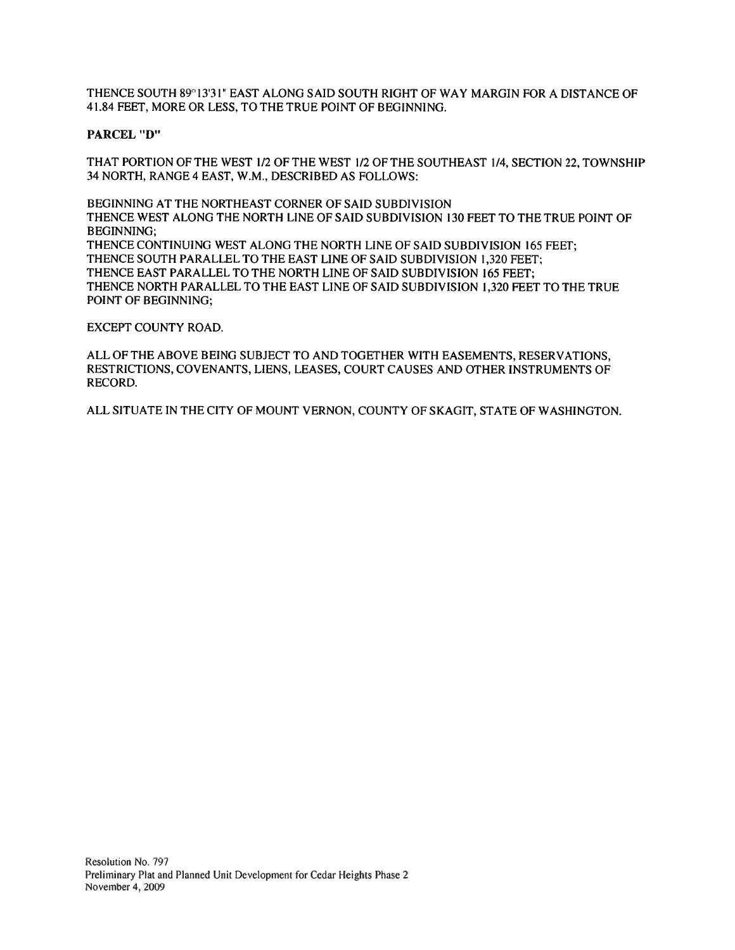THENCE SOUTH 89°13'31" EAST ALONG SAID SOUTH RIGHT OF WAY MARGIN FOR A DISTANCE OF 41.84 FEET, MORE OR LESS, TO THE TRUE POINT OF BEGINNING.

### **PARCEL "D"**

THAT PORTION OF THE WEST 1/2 OF THE WEST 1/2 OF THE SOUTHEAST 1/4, SECTION 22, TOWNSHIP 34 NORTH, RANGE 4 EAST, W.M., DESCRIBED AS FOLLOWS:

BEGINNING AT THE NORTHEAST CORNER OF SAID SUBDIVISION THENCE WEST ALONG THE NORTH LINE OF SAID SUBDIVISION 130 FEET TO THE TRUE POINT OF **BEGINNING:** THENCE CONTINUING WEST ALONG THE NORTH LINE OF SAID SUBDIVISION 165 FEET; THENCE SOUTH PARALLEL TO THE EAST LINE OF SAID SUBDIVISION 1,320 FEET; THENCE EAST PARALLEL TO THE NORTH LINE OF SAID SUBDIVISION 165 FEET: THENCE NORTH PARALLEL TO THE EAST LINE OF SAID SUBDIVISION 1,320 FEET TO THE TRUE POINT OF BEGINNING;

#### EXCEPT COUNTY ROAD.

ALL OF THE ABOVE BEING SUBJECT TO AND TOGETHER WITH EASEMENTS, RESERVATIONS, RESTRICTIONS, COVENANTS, LIENS, LEASES, COURT CAUSES AND OTHER INSTRUMENTS OF RECORD.

ALL SITUATE IN THE CITY OF MOUNT VERNON, COUNTY OF SKAGIT, STATE OF WASHINGTON.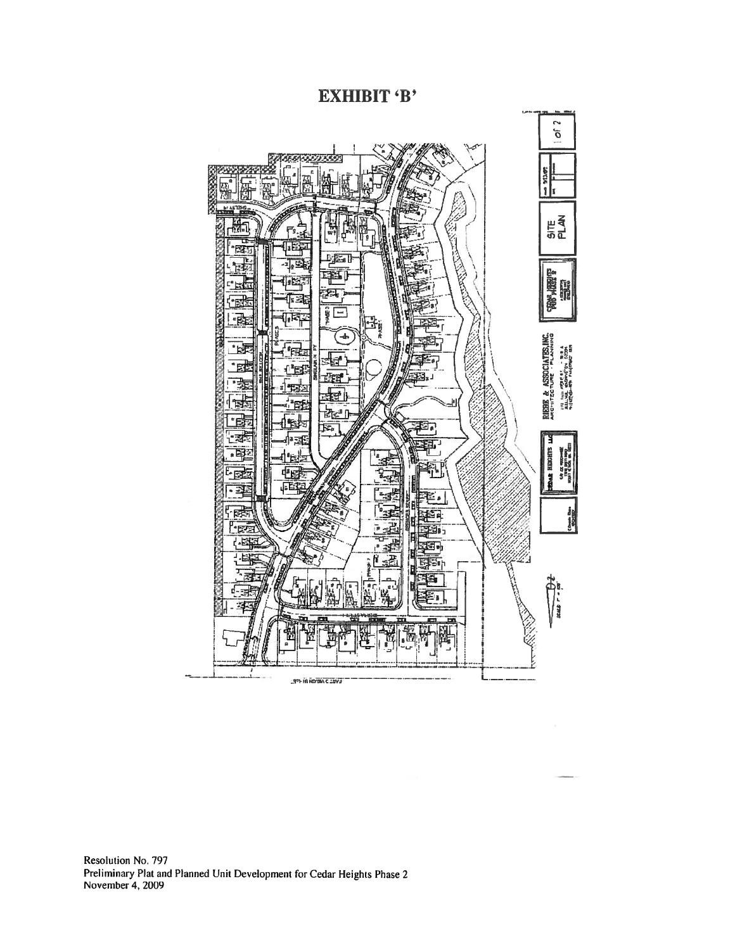**EXHIBIT 'B'** 



Resolution No. 797 Preliminary Plat and Planned Unit Development for Cedar Heights Phase 2 November 4, 2009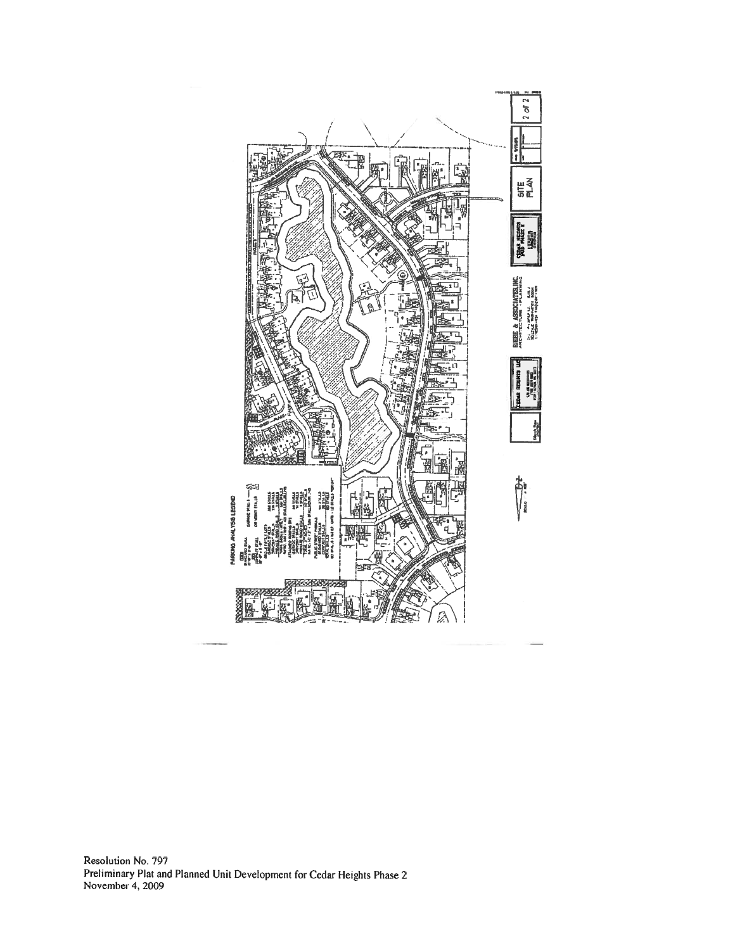

Resolution No. 797 Preliminary Plat and Planned Unit Development for Cedar Heights Phase 2<br>November 4, 2009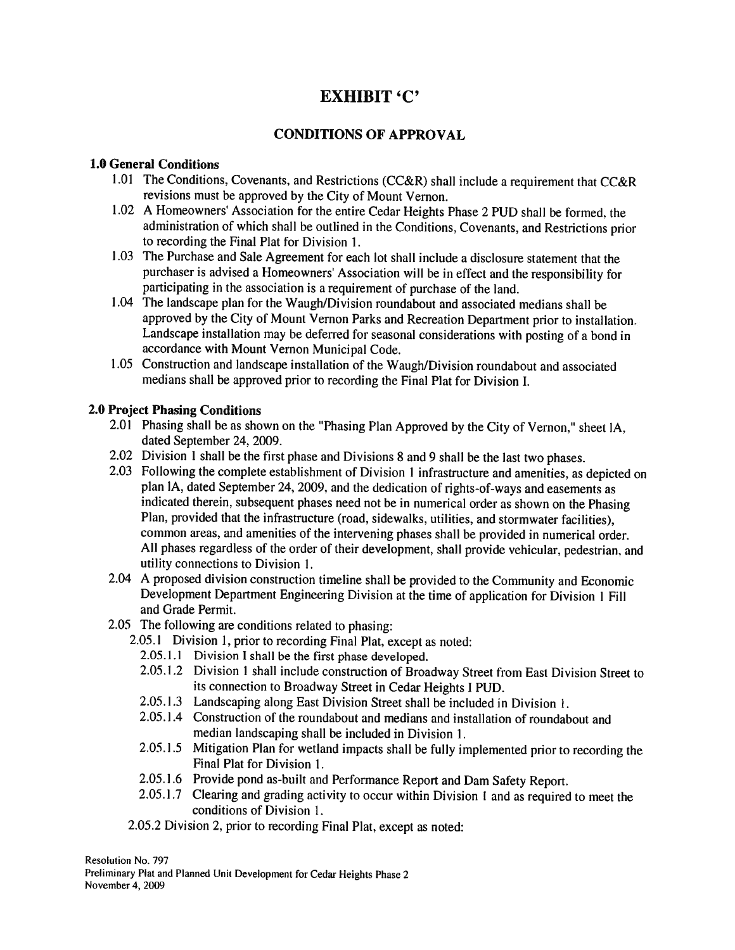# **EXHIBIT 'C'**

# **CONDITIONS OF APPROVAL**

## **1.0 General Conditions**

- 1.01 The Conditions, Covenants, and Restrictions (CC&R) shall include a requirement that CC&R revisions must be approved by the City of Mount Vernon.
- 1.02 A Homeowners' Association for the entire Cedar Heights Phase 2 PUD shall be formed, the administration of which shall be outlined in the Conditions, Covenants, and Restrictions prior to recording the Final Plat for Division 1.
- 1.03 The Purchase and Sale Agreement for each lot shall include a disclosure statement that the purchaser is advised a Homeowners' Association will be in effect and the responsibility for participating in the association is a requirement of purchase of the land.
- 1.04 The landscape plan for the Waugh/Division roundabout and associated medians shall be approved by the City of Mount Vernon Parks and Recreation Department prior to installation. Landscape installation may be deferred for seasonal considerations with posting of a bond in accordance with Mount Vernon Municipal Code.
- 1.05 Construction and landscape installation of the Waugh/Division roundabout and associated medians shall be approved prior to recording the Final Plat for Division I.

## **2.0 Project Phasing Conditions**

- 2.01 Phasing shall be as shown on the "Phasing Plan Approved by the City of Vernon," sheet IA, dated September 24, 2009.
- 2.02 Division 1 shall be the first phase and Divisions 8 and 9 shall be the last two phases.
- 2.03 Following the complete establishment of Division 1 infrastructure and amenities, as depicted on plan IA, dated September 24, 2009, and the dedication of rights-of-ways and easements as indicated therein, subsequent phases need not be in numerical order as shown on the Phasing Plan, provided that the infrastructure (road, sidewalks, utilities, and stormwater facilities), common areas, and amenities of the intervening phases shall be provided in numerical order. All phases regardless of the order of their development, shall provide vehicular, pedestrian, and utility connections to Division 1.
- 2.04 A proposed division construction timeline shall be provided to the Community and Economic Development Department Engineering Division at the time of application for Division 1 Fill and Grade Permit.
- 2.05 The following are conditions related to phasing:
	- 2.05.1 Division 1, prior to recording Final Plat, except as noted:
		- 2.05.1.1 Division I shall be the first phase developed.
		- 2.05.1.2 Division 1 shall include construction of Broadway Street from East Division Street to its connection to Broadway Street in Cedar Heights I PUD.
		- 2.05.1.3 Landscaping along East Division Street shall be included in Division 1.
		- 2.05.1.4 Construction of the roundabout and medians and installation of roundabout and median landscaping shall be included in Division 1.
		- 2.05.1.5 Mitigation Plan for wetland impacts shall be fully implemented prior to recording the Final Plat for Division 1.
		- 2.05.1.6 Provide pond as-built and Performance Report and Dam Safety Report.
		- 2.05.1.7 Clearing and grading activity to occur within Division 1 and as required to meet the conditions of Division 1.
	- 2.05.2 Division 2, prior to recording Final Plat, except as noted:

Resolution No. 797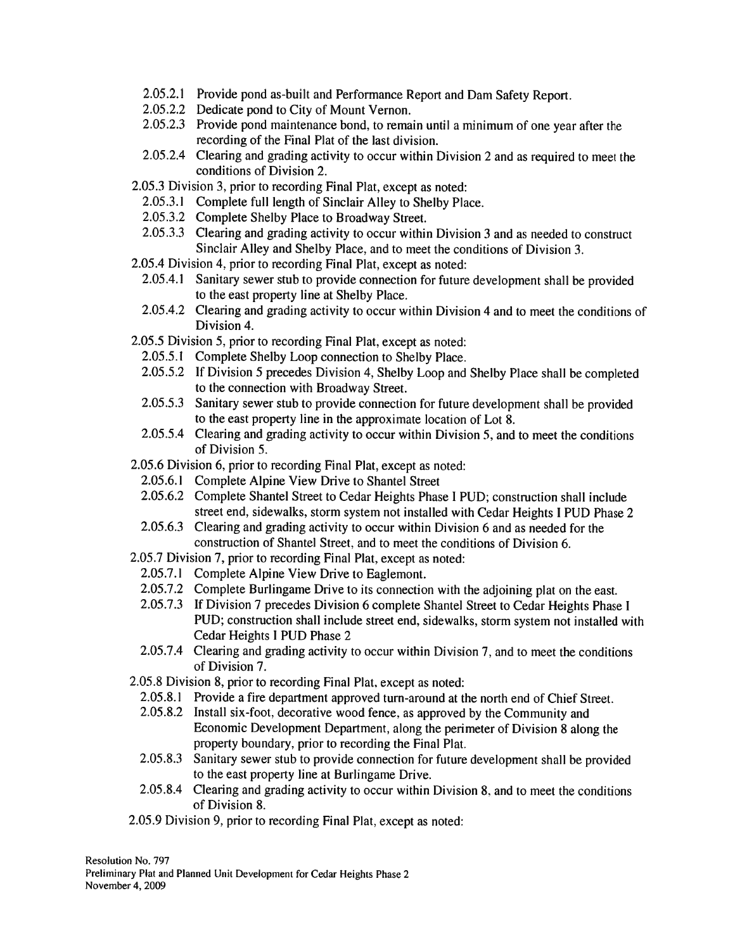- 2.05.2.1 Provide pond as-built and Performance Report and Dam Safety Report.
- 2.05.2.2 Dedicate pond to City of Mount Vernon.
- 2.05.2.3 Provide pond maintenance bond, to remain until a minimum of one year after the recording of the Final Plat of the last division.
- 2.05.2.4 Clearing and grading activity to occur within Division 2 and as required to meet the conditions of Division 2.
- 2.05.3 Division 3, prior to recording Final Plat, except as noted:
	- 2.05.3.1 Complete full length of Sinclair Alley to Shelby Place.
	- 2.05.3.2 Complete Shelby Place to Broadway Street.
	- 2.05.3.3 Clearing and grading activity to occur within Division 3 and as needed to construct Sinclair Alley and Shelby Place, and to meet the conditions of Division 3.
- 2.05.4 Division 4, prior to recording Final Plat, except as noted:
	- 2.05.4.1 Sanitary sewer stub to provide connection for future development shall be provided to the east property line at Shelby Place.
	- 2.05.4.2 Clearing and grading activity to occur within Division 4 and to meet the conditions of Division 4.
- 2.05.5 Division 5, prior to recording Final Plat, except as noted:
	- 2.05.5.1 Complete Shelby Loop connection to Shelby Place.
	- 2.05.5.2 If Division 5 precedes Division 4, Shelby Loop and Shelby Place shall be completed to the connection with Broadway Street.
	- 2.05.5.3 Sanitary sewer stub to provide connection for future development shall be provided to the east property line in the approximate location of Lot 8.
	- 2.05.5.4 Clearing and grading activity to occur within Division 5, and to meet the conditions of Division 5.
- 2.05.6 Division 6, prior to recording Final Plat, except as noted:
	- 2.05.6.1 Complete Alpine View Drive to Shantel Street
	- 2.05.6.2 Complete Shantel Street to Cedar Heights Phase I PUD; construction shall include street end, sidewalks, storm system not installed with Cedar Heights I PUD Phase 2
	- 2.05.6.3 Clearing and grading activity to occur within Division 6 and as needed for the construction of Shantel Street, and to meet the conditions of Division 6.
- 2.05.7 Division 7, prior to recording Final Plat, except as noted:
	- 2.05.7.1 Complete Alpine View Drive to Eaglemont.
	- 2.05.7.2 Complete Burlingame Drive to its connection with the adjoining plat on the east.
	- 2.05.7.3 If Division 7 precedes Division 6 complete Shantel Street to Cedar Heights Phase I PUD; construction shall include street end, sidewalks, storm system not installed with Cedar Heights I PUD Phase 2
	- 2.05.7.4 Clearing and grading activity to occur within Division 7, and to meet the conditions of Division 7.
- 2.05.8 Division 8, prior to recording Final Plat, except as noted:
	- 2.05.8.1 Provide a fire department approved turn-around at the north end of Chief Street.
	- 2.05.8.2 Install six-foot, decorative wood fence, as approved by the Community and Economic Development Department, along the perimeter of Division 8 along the property boundary, prior to recording the Final Plat.
	- Sanitary sewer stub to provide connection for future development shall be provided 2.05.8.3 to the east property line at Burlingame Drive.
- 2.05.8.4 Clearing and grading activity to occur within Division 8, and to meet the conditions of Division 8.
- 2.05.9 Division 9, prior to recording Final Plat, except as noted:

Resolution No. 797 Preliminary Plat and Planned Unit Development for Cedar Heights Phase 2 November 4, 2009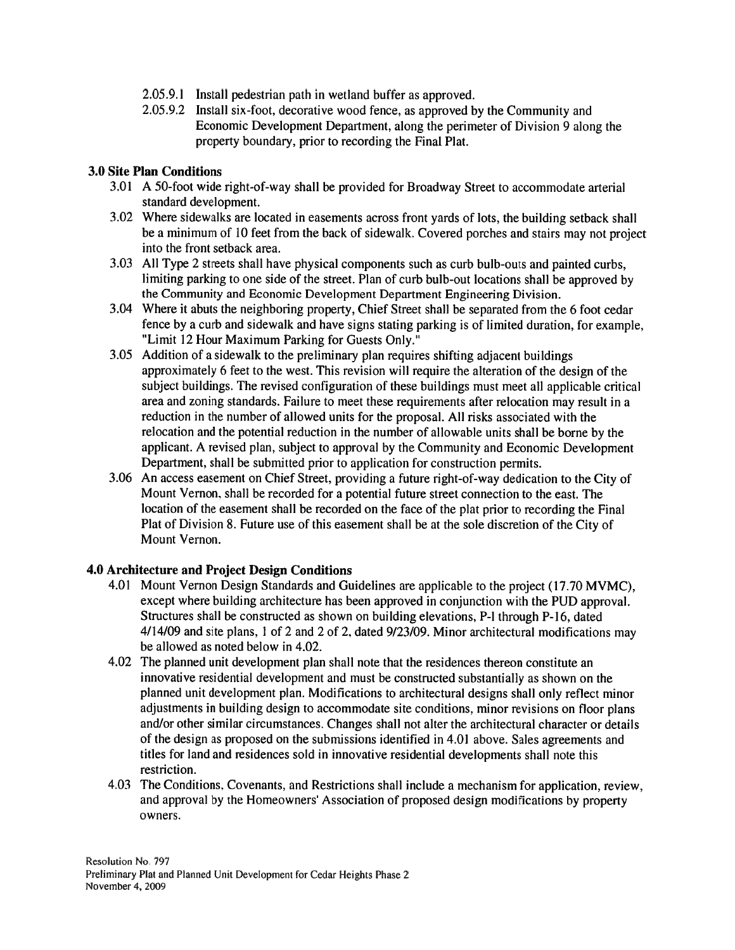- 2.05.9.1 Install pedestrian path in wetland buffer as approved.
- 2.05.9.2 Install six-foot, decorative wood fence, as approved by the Community and Economic Development Department, along the perimeter of Division 9 along the property boundary, prior to recording the Final Plat.

### **3.0 Site Plan Conditions**

- 3.01 A 50-foot wide right-of-way shall be provided for Broadway Street to accommodate arterial standard development.
- 3.02 Where sidewalks are located in easements across front yards of lots, the building setback shall be a minimum of 10 feet from the back of sidewalk. Covered porches and stairs may not project into the front setback area.
- 3.03 All Type 2 streets shall have physical components such as curb bulb-outs and painted curbs, limiting parking to one side of the street. Plan of curb bulb-out locations shall be approved by the Community and Economic Development Department Engineering Division.
- 3.04 Where it abuts the neighboring property, Chief Street shall be separated from the 6 foot cedar fence by a curb and sidewalk and have signs stating parking is of limited duration, for example, "Limit 12 Hour Maximum Parking for Guests Only."
- 3.05 Addition of a sidewalk to the preliminary plan requires shifting adjacent buildings approximately 6 feet to the west. This revision will require the alteration of the design of the subject buildings. The revised configuration of these buildings must meet all applicable critical area and zoning standards. Failure to meet these requirements after relocation may result in a reduction in the number of allowed units for the proposal. All risks associated with the relocation and the potential reduction in the number of allowable units shall be borne by the applicant. A revised plan, subject to approval by the Community and Economic Development Department, shall be submitted prior to application for construction permits.
- 3.06 An access easement on Chief Street, providing a future right-of-way dedication to the City of Mount Vernon, shall be recorded for a potential future street connection to the east. The location of the easement shall be recorded on the face of the plat prior to recording the Final Plat of Division 8. Future use of this easement shall be at the sole discretion of the City of Mount Vernon.

### 4.0 Architecture and Project Design Conditions

- 4.01 Mount Vernon Design Standards and Guidelines are applicable to the project (17.70 MVMC), except where building architecture has been approved in conjunction with the PUD approval. Structures shall be constructed as shown on building elevations, P-1 through P-16, dated 4/14/09 and site plans, 1 of 2 and 2 of 2, dated 9/23/09. Minor architectural modifications may be allowed as noted below in 4.02.
- 4.02 The planned unit development plan shall note that the residences thereon constitute an innovative residential development and must be constructed substantially as shown on the planned unit development plan. Modifications to architectural designs shall only reflect minor adjustments in building design to accommodate site conditions, minor revisions on floor plans and/or other similar circumstances. Changes shall not alter the architectural character or details of the design as proposed on the submissions identified in 4.01 above. Sales agreements and titles for land and residences sold in innovative residential developments shall note this restriction.
- 4.03 The Conditions, Covenants, and Restrictions shall include a mechanism for application, review, and approval by the Homeowners' Association of proposed design modifications by property owners.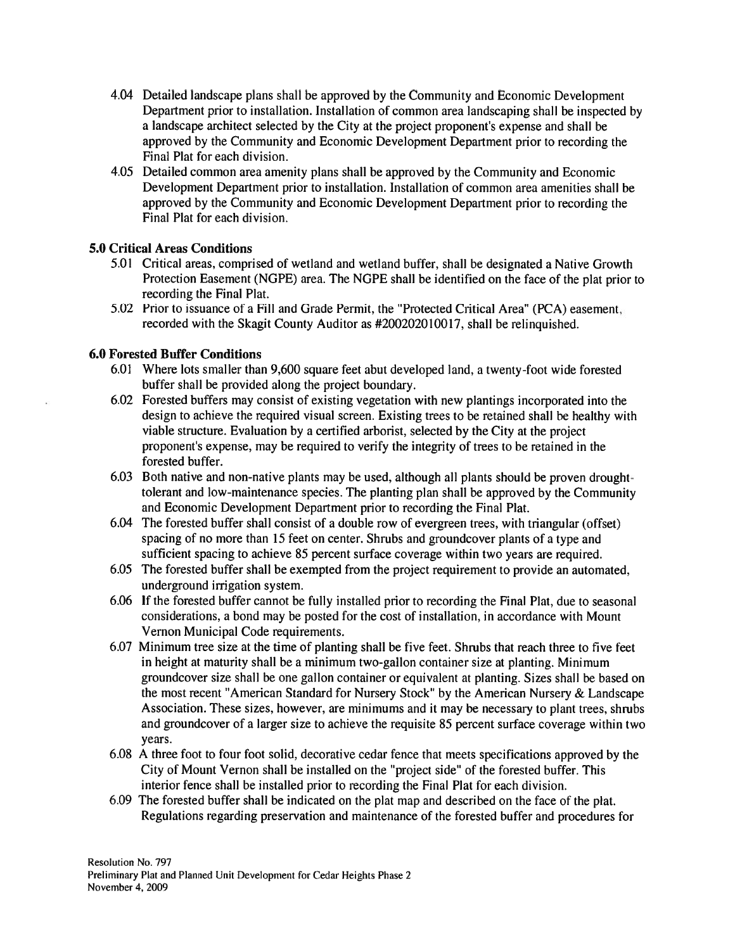- 4.04 Detailed landscape plans shall be approved by the Community and Economic Development Department prior to installation. Installation of common area landscaping shall be inspected by a landscape architect selected by the City at the project proponent's expense and shall be approved by the Community and Economic Development Department prior to recording the Final Plat for each division.
- 4.05 Detailed common area amenity plans shall be approved by the Community and Economic Development Department prior to installation. Installation of common area amenities shall be approved by the Community and Economic Development Department prior to recording the Final Plat for each division.

## **5.0 Critical Areas Conditions**

- 5.01 Critical areas, comprised of wetland and wetland buffer, shall be designated a Native Growth Protection Easement (NGPE) area. The NGPE shall be identified on the face of the plat prior to recording the Final Plat.
- 5.02 Prior to issuance of a Fill and Grade Permit, the "Protected Critical Area" (PCA) easement, recorded with the Skagit County Auditor as #200202010017, shall be relinguished.

### **6.0 Forested Buffer Conditions**

- 6.01 Where lots smaller than 9,600 square feet abut developed land, a twenty-foot wide forested buffer shall be provided along the project boundary.
- 6.02 Forested buffers may consist of existing vegetation with new plantings incorporated into the design to achieve the required visual screen. Existing trees to be retained shall be healthy with viable structure. Evaluation by a certified arborist, selected by the City at the project proponent's expense, may be required to verify the integrity of trees to be retained in the forested buffer.
- 6.03 Both native and non-native plants may be used, although all plants should be proven droughttolerant and low-maintenance species. The planting plan shall be approved by the Community and Economic Development Department prior to recording the Final Plat.
- 6.04 The forested buffer shall consist of a double row of evergreen trees, with triangular (offset) spacing of no more than 15 feet on center. Shrubs and groundcover plants of a type and sufficient spacing to achieve 85 percent surface coverage within two years are required.
- 6.05 The forested buffer shall be exempted from the project requirement to provide an automated, underground irrigation system.
- 6.06 If the forested buffer cannot be fully installed prior to recording the Final Plat, due to seasonal considerations, a bond may be posted for the cost of installation, in accordance with Mount Vernon Municipal Code requirements.
- 6.07 Minimum tree size at the time of planting shall be five feet. Shrubs that reach three to five feet in height at maturity shall be a minimum two-gallon container size at planting. Minimum groundcover size shall be one gallon container or equivalent at planting. Sizes shall be based on the most recent "American Standard for Nursery Stock" by the American Nursery & Landscape Association. These sizes, however, are minimums and it may be necessary to plant trees, shrubs and groundcover of a larger size to achieve the requisite 85 percent surface coverage within two years.
- 6.08 A three foot to four foot solid, decorative cedar fence that meets specifications approved by the City of Mount Vernon shall be installed on the "project side" of the forested buffer. This interior fence shall be installed prior to recording the Final Plat for each division.
- 6.09 The forested buffer shall be indicated on the plat map and described on the face of the plat. Regulations regarding preservation and maintenance of the forested buffer and procedures for